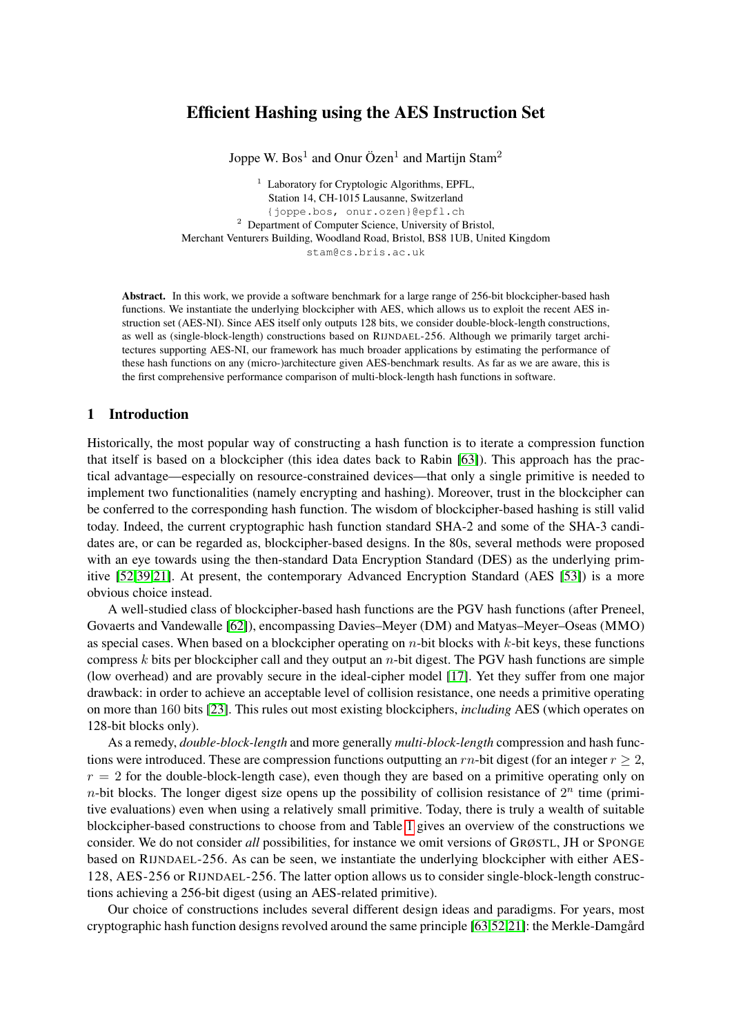# Efficient Hashing using the AES Instruction Set

Joppe W. Bos<sup>1</sup> and Onur Özen<sup>1</sup> and Martijn Stam<sup>2</sup>

<sup>1</sup> Laboratory for Cryptologic Algorithms, EPFL, Station 14, CH-1015 Lausanne, Switzerland {joppe.bos, onur.ozen}@epfl.ch <sup>2</sup> Department of Computer Science, University of Bristol, Merchant Venturers Building, Woodland Road, Bristol, BS8 1UB, United Kingdom stam@cs.bris.ac.uk

Abstract. In this work, we provide a software benchmark for a large range of 256-bit blockcipher-based hash functions. We instantiate the underlying blockcipher with AES, which allows us to exploit the recent AES instruction set (AES-NI). Since AES itself only outputs 128 bits, we consider double-block-length constructions, as well as (single-block-length) constructions based on RIJNDAEL-256. Although we primarily target architectures supporting AES-NI, our framework has much broader applications by estimating the performance of these hash functions on any (micro-)architecture given AES-benchmark results. As far as we are aware, this is the first comprehensive performance comparison of multi-block-length hash functions in software.

## 1 Introduction

Historically, the most popular way of constructing a hash function is to iterate a compression function that itself is based on a blockcipher (this idea dates back to Rabin [\[63\]](#page-14-0)). This approach has the practical advantage—especially on resource-constrained devices—that only a single primitive is needed to implement two functionalities (namely encrypting and hashing). Moreover, trust in the blockcipher can be conferred to the corresponding hash function. The wisdom of blockcipher-based hashing is still valid today. Indeed, the current cryptographic hash function standard SHA-2 and some of the SHA-3 candidates are, or can be regarded as, blockcipher-based designs. In the 80s, several methods were proposed with an eye towards using the then-standard Data Encryption Standard (DES) as the underlying primitive [\[52](#page-13-0)[,39](#page-13-1)[,21\]](#page-12-0). At present, the contemporary Advanced Encryption Standard (AES [\[53\]](#page-13-2)) is a more obvious choice instead.

A well-studied class of blockcipher-based hash functions are the PGV hash functions (after Preneel, Govaerts and Vandewalle [\[62\]](#page-14-1)), encompassing Davies–Meyer (DM) and Matyas–Meyer–Oseas (MMO) as special cases. When based on a blockcipher operating on  $n$ -bit blocks with  $k$ -bit keys, these functions compress  $k$  bits per blockcipher call and they output an  $n$ -bit digest. The PGV hash functions are simple (low overhead) and are provably secure in the ideal-cipher model [\[17\]](#page-12-1). Yet they suffer from one major drawback: in order to achieve an acceptable level of collision resistance, one needs a primitive operating on more than 160 bits [\[23\]](#page-12-2). This rules out most existing blockciphers, *including* AES (which operates on 128-bit blocks only).

As a remedy, *double-block-length* and more generally *multi-block-length* compression and hash functions were introduced. These are compression functions outputting an rn-bit digest (for an integer  $r \geq 2$ ,  $r = 2$  for the double-block-length case), even though they are based on a primitive operating only on *n*-bit blocks. The longer digest size opens up the possibility of collision resistance of  $2^n$  time (primitive evaluations) even when using a relatively small primitive. Today, there is truly a wealth of suitable blockcipher-based constructions to choose from and Table [1](#page-1-0) gives an overview of the constructions we consider. We do not consider *all* possibilities, for instance we omit versions of GRØSTL, JH or SPONGE based on RIJNDAEL-256. As can be seen, we instantiate the underlying blockcipher with either AES-128, AES-256 or RIJNDAEL-256. The latter option allows us to consider single-block-length constructions achieving a 256-bit digest (using an AES-related primitive).

Our choice of constructions includes several different design ideas and paradigms. For years, most cryptographic hash function designs revolved around the same principle [\[63,](#page-14-0)[52](#page-13-0)[,21\]](#page-12-0): the Merkle-Damgård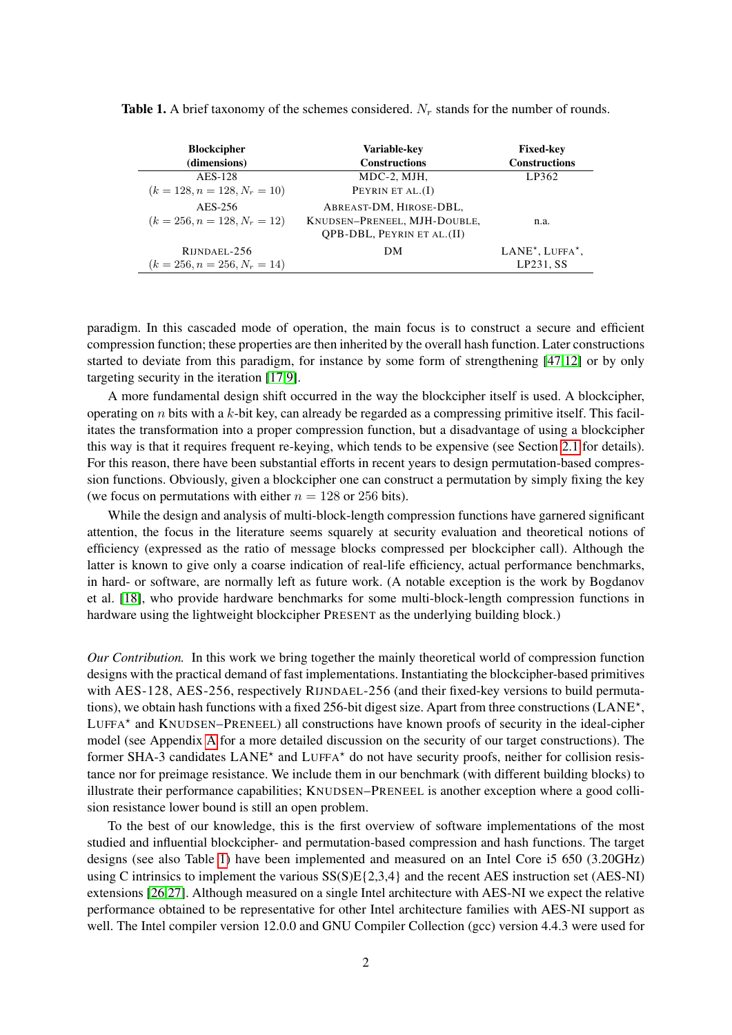| <b>Blockcipher</b><br>(dimensions)             | Variable-key<br><b>Constructions</b>                                                         | <b>Fixed-key</b><br><b>Constructions</b>         |
|------------------------------------------------|----------------------------------------------------------------------------------------------|--------------------------------------------------|
| AES-128<br>$(k = 128, n = 128, N_r = 10)$      | MDC-2, MJH,<br>PEYRIN ET $AL.(I)$                                                            | LP362                                            |
| AES-256<br>$(k = 256, n = 128, N_r = 12)$      | ABREAST-DM, HIROSE-DBL,<br>KNUDSEN-PRENEEL, MJH-DOUBLE,<br><b>OPB-DBL, PEYRIN ET AL.(II)</b> | n.a.                                             |
| RIJNDAEL-256<br>$(k = 256, n = 256, N_r = 14)$ | DМ                                                                                           | $LANE^{\star}$ , LUFFA $^{\star}$ ,<br>LP231, SS |

<span id="page-1-0"></span>**Table 1.** A brief taxonomy of the schemes considered.  $N_r$  stands for the number of rounds.

paradigm. In this cascaded mode of operation, the main focus is to construct a secure and efficient compression function; these properties are then inherited by the overall hash function. Later constructions started to deviate from this paradigm, for instance by some form of strengthening [\[47](#page-13-3)[,12\]](#page-12-3) or by only targeting security in the iteration [\[17](#page-12-1)[,9\]](#page-12-4).

A more fundamental design shift occurred in the way the blockcipher itself is used. A blockcipher, operating on n bits with a k-bit key, can already be regarded as a compressing primitive itself. This facilitates the transformation into a proper compression function, but a disadvantage of using a blockcipher this way is that it requires frequent re-keying, which tends to be expensive (see Section [2.1](#page-2-0) for details). For this reason, there have been substantial efforts in recent years to design permutation-based compression functions. Obviously, given a blockcipher one can construct a permutation by simply fixing the key (we focus on permutations with either  $n = 128$  or 256 bits).

While the design and analysis of multi-block-length compression functions have garnered significant attention, the focus in the literature seems squarely at security evaluation and theoretical notions of efficiency (expressed as the ratio of message blocks compressed per blockcipher call). Although the latter is known to give only a coarse indication of real-life efficiency, actual performance benchmarks, in hard- or software, are normally left as future work. (A notable exception is the work by Bogdanov et al. [\[18\]](#page-12-5), who provide hardware benchmarks for some multi-block-length compression functions in hardware using the lightweight blockcipher PRESENT as the underlying building block.)

*Our Contribution.* In this work we bring together the mainly theoretical world of compression function designs with the practical demand of fast implementations. Instantiating the blockcipher-based primitives with AES-128, AES-256, respectively RIJNDAEL-256 (and their fixed-key versions to build permutations), we obtain hash functions with a fixed 256-bit digest size. Apart from three constructions (LANE<sup>\*</sup>, LUFFA<sup>\*</sup> and KNUDSEN–PRENEEL) all constructions have known proofs of security in the ideal-cipher model (see Appendix [A](#page-14-2) for a more detailed discussion on the security of our target constructions). The former SHA-3 candidates LANE<sup>\*</sup> and LUFFA<sup>\*</sup> do not have security proofs, neither for collision resistance nor for preimage resistance. We include them in our benchmark (with different building blocks) to illustrate their performance capabilities; KNUDSEN–PRENEEL is another exception where a good collision resistance lower bound is still an open problem.

To the best of our knowledge, this is the first overview of software implementations of the most studied and influential blockcipher- and permutation-based compression and hash functions. The target designs (see also Table [1\)](#page-1-0) have been implemented and measured on an Intel Core i5 650 (3.20GHz) using C intrinsics to implement the various  $SS(S)E\{2,3,4\}$  and the recent AES instruction set (AES-NI) extensions [\[26,](#page-12-6)[27\]](#page-12-7). Although measured on a single Intel architecture with AES-NI we expect the relative performance obtained to be representative for other Intel architecture families with AES-NI support as well. The Intel compiler version 12.0.0 and GNU Compiler Collection (gcc) version 4.4.3 were used for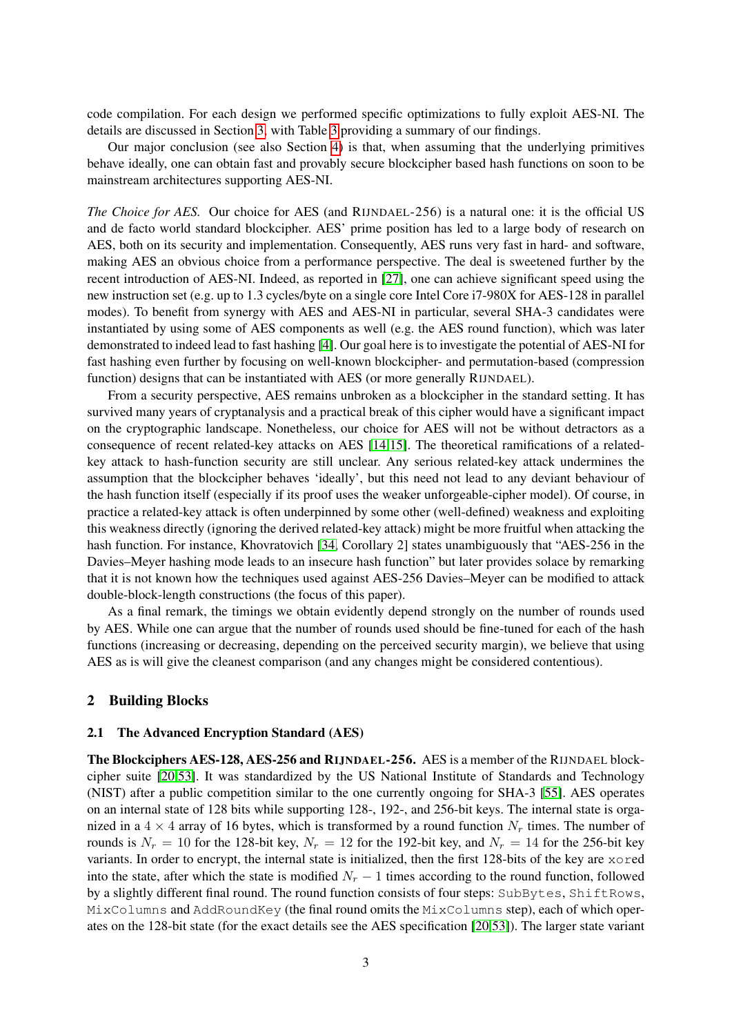code compilation. For each design we performed specific optimizations to fully exploit AES-NI. The details are discussed in Section [3,](#page-6-0) with Table [3](#page-6-0) providing a summary of our findings.

Our major conclusion (see also Section [4\)](#page-11-0) is that, when assuming that the underlying primitives behave ideally, one can obtain fast and provably secure blockcipher based hash functions on soon to be mainstream architectures supporting AES-NI.

*The Choice for AES.* Our choice for AES (and RIJNDAEL-256) is a natural one: it is the official US and de facto world standard blockcipher. AES' prime position has led to a large body of research on AES, both on its security and implementation. Consequently, AES runs very fast in hard- and software, making AES an obvious choice from a performance perspective. The deal is sweetened further by the recent introduction of AES-NI. Indeed, as reported in [\[27\]](#page-12-7), one can achieve significant speed using the new instruction set (e.g. up to 1.3 cycles/byte on a single core Intel Core i7-980X for AES-128 in parallel modes). To benefit from synergy with AES and AES-NI in particular, several SHA-3 candidates were instantiated by using some of AES components as well (e.g. the AES round function), which was later demonstrated to indeed lead to fast hashing [\[4\]](#page-12-8). Our goal here is to investigate the potential of AES-NI for fast hashing even further by focusing on well-known blockcipher- and permutation-based (compression function) designs that can be instantiated with AES (or more generally RIJNDAEL).

From a security perspective, AES remains unbroken as a blockcipher in the standard setting. It has survived many years of cryptanalysis and a practical break of this cipher would have a significant impact on the cryptographic landscape. Nonetheless, our choice for AES will not be without detractors as a consequence of recent related-key attacks on AES [\[14](#page-12-9)[,15\]](#page-12-10). The theoretical ramifications of a relatedkey attack to hash-function security are still unclear. Any serious related-key attack undermines the assumption that the blockcipher behaves 'ideally', but this need not lead to any deviant behaviour of the hash function itself (especially if its proof uses the weaker unforgeable-cipher model). Of course, in practice a related-key attack is often underpinned by some other (well-defined) weakness and exploiting this weakness directly (ignoring the derived related-key attack) might be more fruitful when attacking the hash function. For instance, Khovratovich [\[34,](#page-13-4) Corollary 2] states unambiguously that "AES-256 in the Davies–Meyer hashing mode leads to an insecure hash function" but later provides solace by remarking that it is not known how the techniques used against AES-256 Davies–Meyer can be modified to attack double-block-length constructions (the focus of this paper).

As a final remark, the timings we obtain evidently depend strongly on the number of rounds used by AES. While one can argue that the number of rounds used should be fine-tuned for each of the hash functions (increasing or decreasing, depending on the perceived security margin), we believe that using AES as is will give the cleanest comparison (and any changes might be considered contentious).

### 2 Building Blocks

### <span id="page-2-0"></span>2.1 The Advanced Encryption Standard (AES)

The Blockciphers AES-128, AES-256 and RIJNDAEL-256. AES is a member of the RIJNDAEL blockcipher suite [\[20,](#page-12-11)[53\]](#page-13-2). It was standardized by the US National Institute of Standards and Technology (NIST) after a public competition similar to the one currently ongoing for SHA-3 [\[55\]](#page-13-5). AES operates on an internal state of 128 bits while supporting 128-, 192-, and 256-bit keys. The internal state is organized in a  $4 \times 4$  array of 16 bytes, which is transformed by a round function  $N_r$  times. The number of rounds is  $N_r = 10$  for the 128-bit key,  $N_r = 12$  for the 192-bit key, and  $N_r = 14$  for the 256-bit key variants. In order to encrypt, the internal state is initialized, then the first 128-bits of the key are xored into the state, after which the state is modified  $N_r - 1$  times according to the round function, followed by a slightly different final round. The round function consists of four steps: SubBytes, ShiftRows, MixColumns and AddRoundKey (the final round omits the MixColumns step), each of which operates on the 128-bit state (for the exact details see the AES specification [\[20](#page-12-11)[,53\]](#page-13-2)). The larger state variant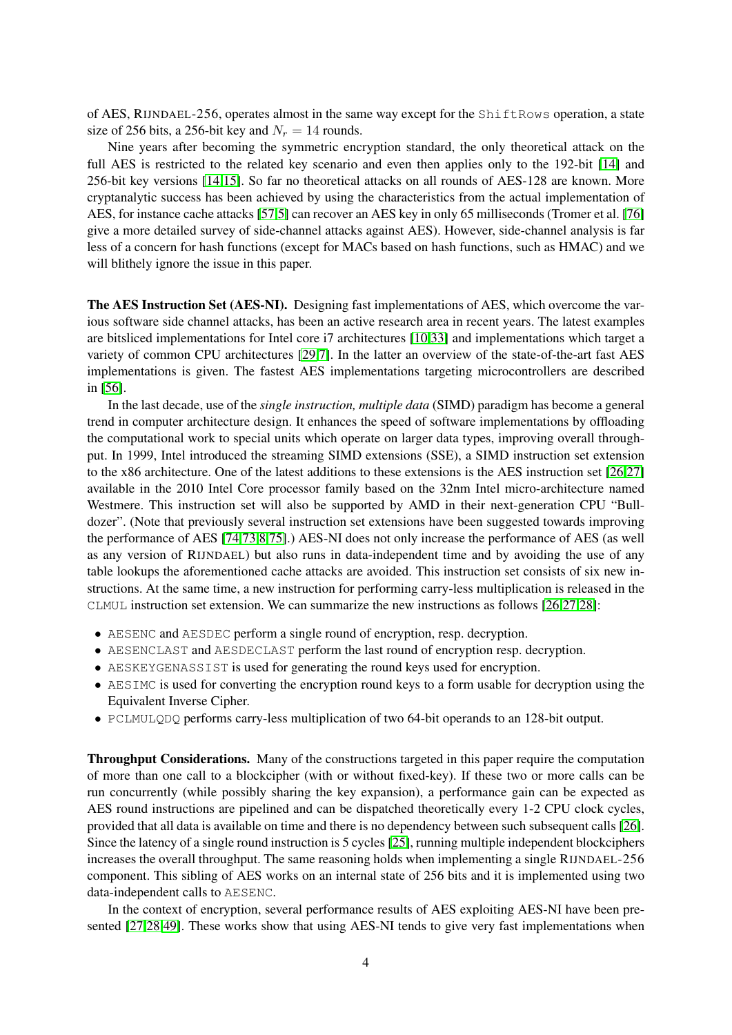of AES, RIJNDAEL-256, operates almost in the same way except for the ShiftRows operation, a state size of 256 bits, a 256-bit key and  $N_r = 14$  rounds.

Nine years after becoming the symmetric encryption standard, the only theoretical attack on the full AES is restricted to the related key scenario and even then applies only to the 192-bit [\[14\]](#page-12-9) and 256-bit key versions [\[14,](#page-12-9)[15\]](#page-12-10). So far no theoretical attacks on all rounds of AES-128 are known. More cryptanalytic success has been achieved by using the characteristics from the actual implementation of AES, for instance cache attacks [\[57](#page-13-6)[,5\]](#page-12-12) can recover an AES key in only 65 milliseconds (Tromer et al. [\[76\]](#page-14-3) give a more detailed survey of side-channel attacks against AES). However, side-channel analysis is far less of a concern for hash functions (except for MACs based on hash functions, such as HMAC) and we will blithely ignore the issue in this paper.

The AES Instruction Set (AES-NI). Designing fast implementations of AES, which overcome the various software side channel attacks, has been an active research area in recent years. The latest examples are bitsliced implementations for Intel core i7 architectures [\[10](#page-12-13)[,33\]](#page-13-7) and implementations which target a variety of common CPU architectures [\[29,](#page-13-8)[7\]](#page-12-14). In the latter an overview of the state-of-the-art fast AES implementations is given. The fastest AES implementations targeting microcontrollers are described in [\[56\]](#page-13-9).

In the last decade, use of the *single instruction, multiple data* (SIMD) paradigm has become a general trend in computer architecture design. It enhances the speed of software implementations by offloading the computational work to special units which operate on larger data types, improving overall throughput. In 1999, Intel introduced the streaming SIMD extensions (SSE), a SIMD instruction set extension to the x86 architecture. One of the latest additions to these extensions is the AES instruction set [\[26](#page-12-6)[,27\]](#page-12-7) available in the 2010 Intel Core processor family based on the 32nm Intel micro-architecture named Westmere. This instruction set will also be supported by AMD in their next-generation CPU "Bulldozer". (Note that previously several instruction set extensions have been suggested towards improving the performance of AES [\[74](#page-14-4)[,73,](#page-14-5)[8](#page-12-15)[,75\]](#page-14-6).) AES-NI does not only increase the performance of AES (as well as any version of RIJNDAEL) but also runs in data-independent time and by avoiding the use of any table lookups the aforementioned cache attacks are avoided. This instruction set consists of six new instructions. At the same time, a new instruction for performing carry-less multiplication is released in the CLMUL instruction set extension. We can summarize the new instructions as follows [\[26,](#page-12-6)[27,](#page-12-7)[28\]](#page-13-10):

- AESENC and AESDEC perform a single round of encryption, resp. decryption.
- AESENCLAST and AESDECLAST perform the last round of encryption resp. decryption.
- AESKEYGENASSIST is used for generating the round keys used for encryption.
- AESIMC is used for converting the encryption round keys to a form usable for decryption using the Equivalent Inverse Cipher.
- PCLMULQDQ performs carry-less multiplication of two 64-bit operands to an 128-bit output.

Throughput Considerations. Many of the constructions targeted in this paper require the computation of more than one call to a blockcipher (with or without fixed-key). If these two or more calls can be run concurrently (while possibly sharing the key expansion), a performance gain can be expected as AES round instructions are pipelined and can be dispatched theoretically every 1-2 CPU clock cycles, provided that all data is available on time and there is no dependency between such subsequent calls [\[26\]](#page-12-6). Since the latency of a single round instruction is 5 cycles [\[25\]](#page-12-16), running multiple independent blockciphers increases the overall throughput. The same reasoning holds when implementing a single RIJNDAEL-256 component. This sibling of AES works on an internal state of 256 bits and it is implemented using two data-independent calls to AESENC.

In the context of encryption, several performance results of AES exploiting AES-NI have been presented [\[27,](#page-12-7)[28](#page-13-10)[,49\]](#page-13-11). These works show that using AES-NI tends to give very fast implementations when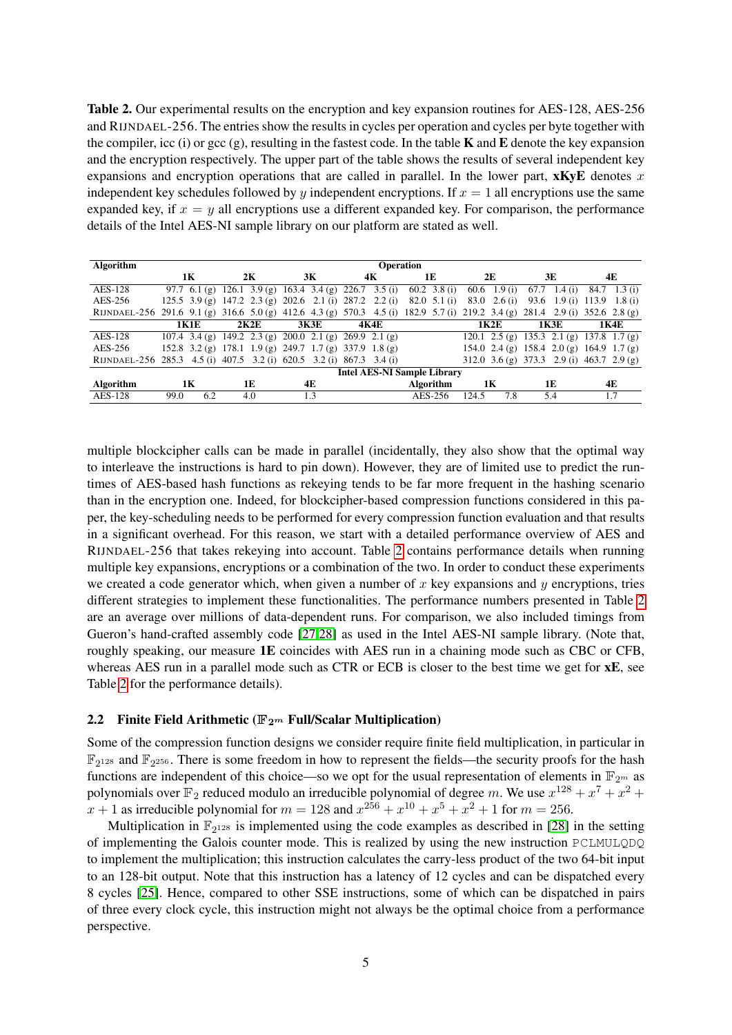<span id="page-4-0"></span>Table 2. Our experimental results on the encryption and key expansion routines for AES-128, AES-256 and RIJNDAEL-256. The entries show the results in cycles per operation and cycles per byte together with the compiler, icc (i) or gcc  $(g)$ , resulting in the fastest code. In the table **K** and **E** denote the key expansion and the encryption respectively. The upper part of the table shows the results of several independent key expansions and encryption operations that are called in parallel. In the lower part,  $\mathbf{x}$ KyE denotes x independent key schedules followed by y independent encryptions. If  $x = 1$  all encryptions use the same expanded key, if  $x = y$  all encryptions use a different expanded key. For comparison, the performance details of the Intel AES-NI sample library on our platform are stated as well.

| Algorithm                                                                                                                    |             |      |                                                         | <b>Operation</b>                                        |                  |                              |                                           |                            |
|------------------------------------------------------------------------------------------------------------------------------|-------------|------|---------------------------------------------------------|---------------------------------------------------------|------------------|------------------------------|-------------------------------------------|----------------------------|
|                                                                                                                              | 1K          | 2K   | 3К                                                      | 4К                                                      | 1E               | 2E                           | 3E                                        | 4E                         |
| AES-128                                                                                                                      |             |      |                                                         | 97.7 6.1 (g) 126.1 3.9 (g) 163.4 3.4 (g) 226.7 3.5 (i)  | 60.2 $3.8(i)$    | 60.6 1.9 (i)                 | 67.7<br>1.4 $(i)$                         | $84.7$ 1.3 (i)             |
| AES-256                                                                                                                      |             |      |                                                         | 125.5 3.9 (g) 147.2 2.3 (g) 202.6 2.1 (i) 287.2 2.2 (i) | $82.0 \t5.1(i)$  | $83.0 \quad 2.6 \text{ (i)}$ |                                           | 93.6 1.9 (i) 113.9 1.8 (i) |
| RIJNDAEL-256 291.6 9.1 (g) 316.6 5.0 (g) 412.6 4.3 (g) 570.3 4.5 (i) 182.9 5.7 (i) 219.2 3.4 (g) 281.4 2.9 (i) 352.6 2.8 (g) |             |      |                                                         |                                                         |                  |                              |                                           |                            |
|                                                                                                                              | 1K1E        | 2K2E | <b>3K3E</b>                                             | 4K4E                                                    |                  | 1K2E                         | 1K3E                                      | 1K4E                       |
| AES-128                                                                                                                      |             |      | 107.4 3.4 (g) 149.2 2.3 (g) 200.0 2.1 (g) 269.9 2.1 (g) |                                                         |                  |                              | 120.1 2.5 (g) 135.3 2.1 (g) 137.8 1.7 (g) |                            |
| AES-256                                                                                                                      |             |      | 152.8 3.2 (g) 178.1 1.9 (g) 249.7 1.7 (g) 337.9 1.8 (g) |                                                         |                  |                              | 154.0 2.4 (g) 158.4 2.0 (g) 164.9 1.7 (g) |                            |
| RIJNDAEL-256 285.3 4.5 (i) 407.5 3.2 (i) 620.5 3.2 (i) 867.3 3.4 (i)                                                         |             |      |                                                         |                                                         |                  |                              | 312.0 3.6 (g) 373.3 2.9 (i) 463.7 2.9 (g) |                            |
|                                                                                                                              |             |      |                                                         | <b>Intel AES-NI Sample Library</b>                      |                  |                              |                                           |                            |
| <b>Algorithm</b>                                                                                                             | 1K          | 1E   | 4E                                                      |                                                         | <b>Algorithm</b> | 1К                           | 1E                                        | 4E                         |
| AES-128                                                                                                                      | 99.0<br>6.2 | 4.0  | 1.3                                                     |                                                         | AES-256          | 124.5<br>7.8                 | 5.4                                       | 1.7                        |

multiple blockcipher calls can be made in parallel (incidentally, they also show that the optimal way to interleave the instructions is hard to pin down). However, they are of limited use to predict the runtimes of AES-based hash functions as rekeying tends to be far more frequent in the hashing scenario than in the encryption one. Indeed, for blockcipher-based compression functions considered in this paper, the key-scheduling needs to be performed for every compression function evaluation and that results in a significant overhead. For this reason, we start with a detailed performance overview of AES and RIJNDAEL-256 that takes rekeying into account. Table [2](#page-4-0) contains performance details when running multiple key expansions, encryptions or a combination of the two. In order to conduct these experiments we created a code generator which, when given a number of x key expansions and  $\gamma$  encryptions, tries different strategies to implement these functionalities. The performance numbers presented in Table [2](#page-4-0) are an average over millions of data-dependent runs. For comparison, we also included timings from Gueron's hand-crafted assembly code [\[27,](#page-12-7)[28\]](#page-13-10) as used in the Intel AES-NI sample library. (Note that, roughly speaking, our measure 1E coincides with AES run in a chaining mode such as CBC or CFB, whereas AES run in a parallel mode such as CTR or ECB is closer to the best time we get for  $xE$ , see Table [2](#page-4-0) for the performance details).

### <span id="page-4-1"></span>2.2 Finite Field Arithmetic ( $\mathbb{F}_{2^m}$  Full/Scalar Multiplication)

Some of the compression function designs we consider require finite field multiplication, in particular in  $\mathbb{F}_{2^{128}}$  and  $\mathbb{F}_{2^{256}}$ . There is some freedom in how to represent the fields—the security proofs for the hash functions are independent of this choice—so we opt for the usual representation of elements in  $\mathbb{F}_{2^m}$  as polynomials over  $\mathbb{F}_2$  reduced modulo an irreducible polynomial of degree m. We use  $x^{128} + x^7 + x^2 +$  $x + 1$  as irreducible polynomial for  $m = 128$  and  $x^{256} + x^{10} + x^5 + x^2 + 1$  for  $m = 256$ .

Multiplication in  $\mathbb{F}_{2^{128}}$  is implemented using the code examples as described in [\[28\]](#page-13-10) in the setting of implementing the Galois counter mode. This is realized by using the new instruction PCLMULQDQ to implement the multiplication; this instruction calculates the carry-less product of the two 64-bit input to an 128-bit output. Note that this instruction has a latency of 12 cycles and can be dispatched every 8 cycles [\[25\]](#page-12-16). Hence, compared to other SSE instructions, some of which can be dispatched in pairs of three every clock cycle, this instruction might not always be the optimal choice from a performance perspective.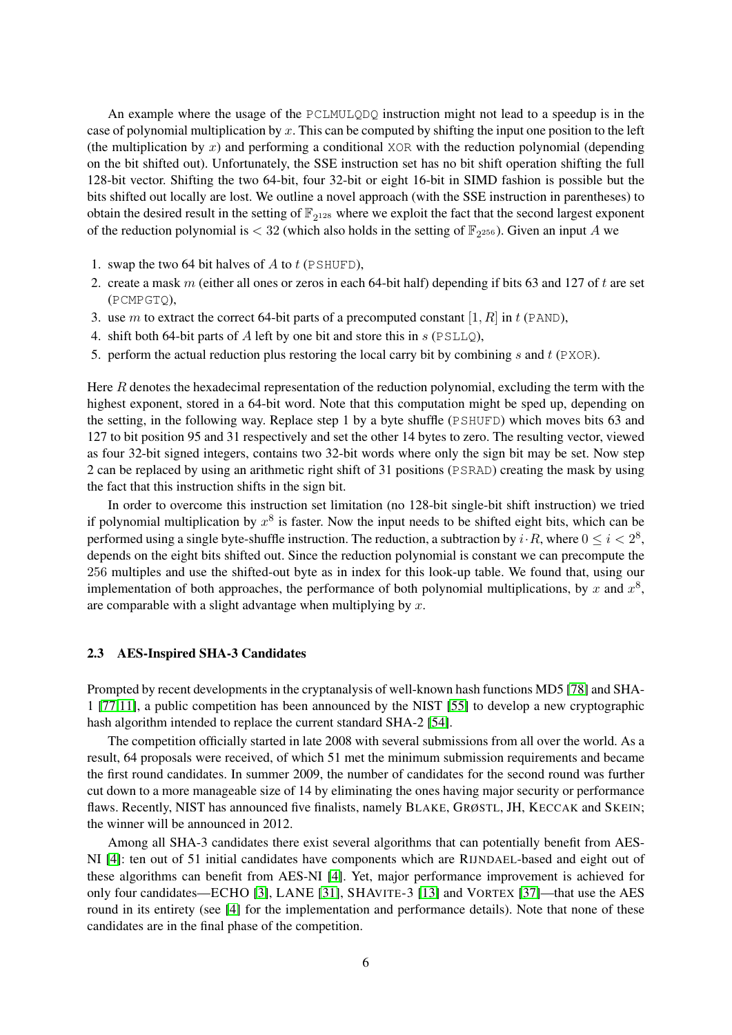An example where the usage of the PCLMULQDQ instruction might not lead to a speedup is in the case of polynomial multiplication by x. This can be computed by shifting the input one position to the left (the multiplication by  $x$ ) and performing a conditional XOR with the reduction polynomial (depending on the bit shifted out). Unfortunately, the SSE instruction set has no bit shift operation shifting the full 128-bit vector. Shifting the two 64-bit, four 32-bit or eight 16-bit in SIMD fashion is possible but the bits shifted out locally are lost. We outline a novel approach (with the SSE instruction in parentheses) to obtain the desired result in the setting of  $\mathbb{F}_{2^{128}}$  where we exploit the fact that the second largest exponent of the reduction polynomial is  $< 32$  (which also holds in the setting of  $\mathbb{F}_{2^{256}}$ ). Given an input A we

- 1. swap the two 64 bit halves of  $A$  to  $t$  (PSHUFD),
- 2. create a mask m (either all ones or zeros in each 64-bit half) depending if bits 63 and 127 of t are set (PCMPGTQ),
- 3. use m to extract the correct 64-bit parts of a precomputed constant [1, R] in t (PAND),
- 4. shift both 64-bit parts of A left by one bit and store this in  $s$  ( $PSLLQ$ ),
- 5. perform the actual reduction plus restoring the local carry bit by combining  $s$  and  $t$  (PXOR).

Here R denotes the hexadecimal representation of the reduction polynomial, excluding the term with the highest exponent, stored in a 64-bit word. Note that this computation might be sped up, depending on the setting, in the following way. Replace step 1 by a byte shuffle (PSHUFD) which moves bits 63 and 127 to bit position 95 and 31 respectively and set the other 14 bytes to zero. The resulting vector, viewed as four 32-bit signed integers, contains two 32-bit words where only the sign bit may be set. Now step 2 can be replaced by using an arithmetic right shift of 31 positions (PSRAD) creating the mask by using the fact that this instruction shifts in the sign bit.

In order to overcome this instruction set limitation (no 128-bit single-bit shift instruction) we tried if polynomial multiplication by  $x^8$  is faster. Now the input needs to be shifted eight bits, which can be performed using a single byte-shuffle instruction. The reduction, a subtraction by  $i \cdot R$ , where  $0 \le i < 2^8$ , depends on the eight bits shifted out. Since the reduction polynomial is constant we can precompute the 256 multiples and use the shifted-out byte as in index for this look-up table. We found that, using our implementation of both approaches, the performance of both polynomial multiplications, by x and  $x^8$ , are comparable with a slight advantage when multiplying by  $x$ .

### 2.3 AES-Inspired SHA-3 Candidates

Prompted by recent developments in the cryptanalysis of well-known hash functions MD5 [\[78\]](#page-14-7) and SHA-1 [\[77](#page-14-8)[,11\]](#page-12-17), a public competition has been announced by the NIST [\[55\]](#page-13-5) to develop a new cryptographic hash algorithm intended to replace the current standard SHA-2 [\[54\]](#page-13-12).

The competition officially started in late 2008 with several submissions from all over the world. As a result, 64 proposals were received, of which 51 met the minimum submission requirements and became the first round candidates. In summer 2009, the number of candidates for the second round was further cut down to a more manageable size of 14 by eliminating the ones having major security or performance flaws. Recently, NIST has announced five finalists, namely BLAKE, GRØSTL, JH, KECCAK and SKEIN; the winner will be announced in 2012.

Among all SHA-3 candidates there exist several algorithms that can potentially benefit from AES-NI [\[4\]](#page-12-8): ten out of 51 initial candidates have components which are RIJNDAEL-based and eight out of these algorithms can benefit from AES-NI [\[4\]](#page-12-8). Yet, major performance improvement is achieved for only four candidates—ECHO [\[3\]](#page-12-18), LANE [\[31\]](#page-13-13), SHAVITE-3 [\[13\]](#page-12-19) and VORTEX [\[37\]](#page-13-14)—that use the AES round in its entirety (see [\[4\]](#page-12-8) for the implementation and performance details). Note that none of these candidates are in the final phase of the competition.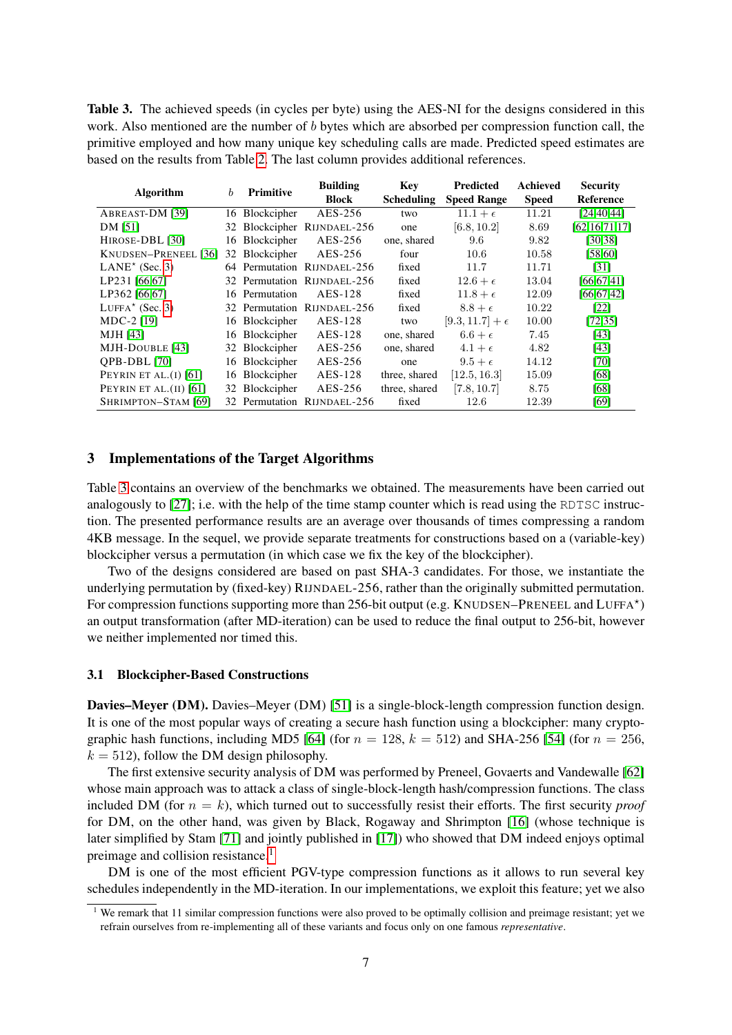Table 3. The achieved speeds (in cycles per byte) using the AES-NI for the designs considered in this work. Also mentioned are the number of b bytes which are absorbed per compression function call, the primitive employed and how many unique key scheduling calls are made. Predicted speed estimates are based on the results from Table [2.](#page-4-0) The last column provides additional references.

| <b>Algorithm</b>                             | $\boldsymbol{b}$ | <b>Primitive</b> | <b>Building</b>             | Key               | <b>Predicted</b>         | Achieved     | <b>Security</b>  |
|----------------------------------------------|------------------|------------------|-----------------------------|-------------------|--------------------------|--------------|------------------|
|                                              |                  |                  | <b>Block</b>                | <b>Scheduling</b> | <b>Speed Range</b>       | <b>Speed</b> | Reference        |
| ABREAST-DM [39]                              |                  | 16 Blockcipher   | AES-256                     | two               | $11.1 + \epsilon$        | 11.21        | [24, 40, 44]     |
| DM [51]                                      | 32               |                  | Blockcipher RIJNDAEL-256    | one               | [6.8, 10.2]              | 8.69         | [62, 16, 71, 17] |
| HIROSE-DBL [30]                              | 16               | Blockcipher      | AES-256                     | one, shared       | 9.6                      | 9.82         | [30, 38]         |
| KNUDSEN-PRENEEL [36]                         | 32               | Blockcipher      | AES-256                     | four              | 10.6                     | 10.58        | [58,60]          |
| $LANE*$ (Sec. 3)                             |                  |                  | 64 Permutation RIJNDAEL-256 | fixed             | 11.7                     | 11.71        | [31]             |
| LP231 [66,67]                                |                  |                  | 32 Permutation RIJNDAEL-256 | fixed             | $12.6+\epsilon$          | 13.04        | [66, 67, 41]     |
| LP362 [66,67]                                |                  | 16 Permutation   | AES-128                     | fixed             | $11.8+\epsilon$          | 12.09        | [66, 67, 42]     |
| LUFFA <sup><math>\star</math></sup> (Sec. 3) |                  |                  | 32 Permutation RIJNDAEL-256 | fixed             | $8.8+\epsilon$           | 10.22        | [22]             |
| MDC-2 [19]                                   | 16               | Blockcipher      | AES-128                     | two               | $[9.3, 11.7] + \epsilon$ | 10.00        | [72, 35]         |
| MJH [43]                                     | 16               | Blockcipher      | AES-128                     | one, shared       | $6.6+\epsilon$           | 7.45         | [43]             |
| MJH-DOUBLE [43]                              |                  | 32 Blockcipher   | AES-256                     | one, shared       | $4.1+\epsilon$           | 4.82         | [43]             |
| QPB-DBL [70]                                 | 16               | Blockcipher      | AES-256                     | one               | $9.5+\epsilon$           | 14.12        | [70]             |
| PEYRIN ET AL. $(I)$ [61]                     | 16               | Blockcipher      | AES-128                     | three, shared     | [12.5, 16.3]             | 15.09        | [68]             |
| PEYRIN ET AL. $(II)$ [61]                    |                  | 32 Blockcipher   | AES-256                     | three, shared     | [7.8, 10.7]              | 8.75         | [68]             |
| SHRIMPTON-STAM [69]                          |                  |                  | 32 Permutation RIJNDAEL-256 | fixed             | 12.6                     | 12.39        | [69]             |

## <span id="page-6-0"></span>3 Implementations of the Target Algorithms

Table [3](#page-6-0) contains an overview of the benchmarks we obtained. The measurements have been carried out analogously to  $[27]$ ; i.e. with the help of the time stamp counter which is read using the RDTSC instruction. The presented performance results are an average over thousands of times compressing a random 4KB message. In the sequel, we provide separate treatments for constructions based on a (variable-key) blockcipher versus a permutation (in which case we fix the key of the blockcipher).

Two of the designs considered are based on past SHA-3 candidates. For those, we instantiate the underlying permutation by (fixed-key) RIJNDAEL-256, rather than the originally submitted permutation. For compression functions supporting more than 256-bit output (e.g. KNUDSEN–PRENEEL and LUFFA\*) an output transformation (after MD-iteration) can be used to reduce the final output to 256-bit, however we neither implemented nor timed this.

#### 3.1 Blockcipher-Based Constructions

Davies–Meyer (DM). Davies–Meyer (DM) [\[51\]](#page-13-17) is a single-block-length compression function design. It is one of the most popular ways of creating a secure hash function using a blockcipher: many crypto-graphic hash functions, including MD5 [\[64\]](#page-14-18) (for  $n = 128$ ,  $k = 512$ ) and SHA-256 [\[54\]](#page-13-12) (for  $n = 256$ ,  $k = 512$ , follow the DM design philosophy.

The first extensive security analysis of DM was performed by Preneel, Govaerts and Vandewalle [\[62\]](#page-14-1) whose main approach was to attack a class of single-block-length hash/compression functions. The class included DM (for  $n = k$ ), which turned out to successfully resist their efforts. The first security *proof* for DM, on the other hand, was given by Black, Rogaway and Shrimpton [\[16\]](#page-12-21) (whose technique is later simplified by Stam [\[71\]](#page-14-9) and jointly published in [\[17\]](#page-12-1)) who showed that DM indeed enjoys optimal preimage and collision resistance.<sup>[1](#page-6-1)</sup>

DM is one of the most efficient PGV-type compression functions as it allows to run several key schedules independently in the MD-iteration. In our implementations, we exploit this feature; yet we also

<span id="page-6-1"></span><sup>&</sup>lt;sup>1</sup> We remark that 11 similar compression functions were also proved to be optimally collision and preimage resistant; yet we refrain ourselves from re-implementing all of these variants and focus only on one famous *representative*.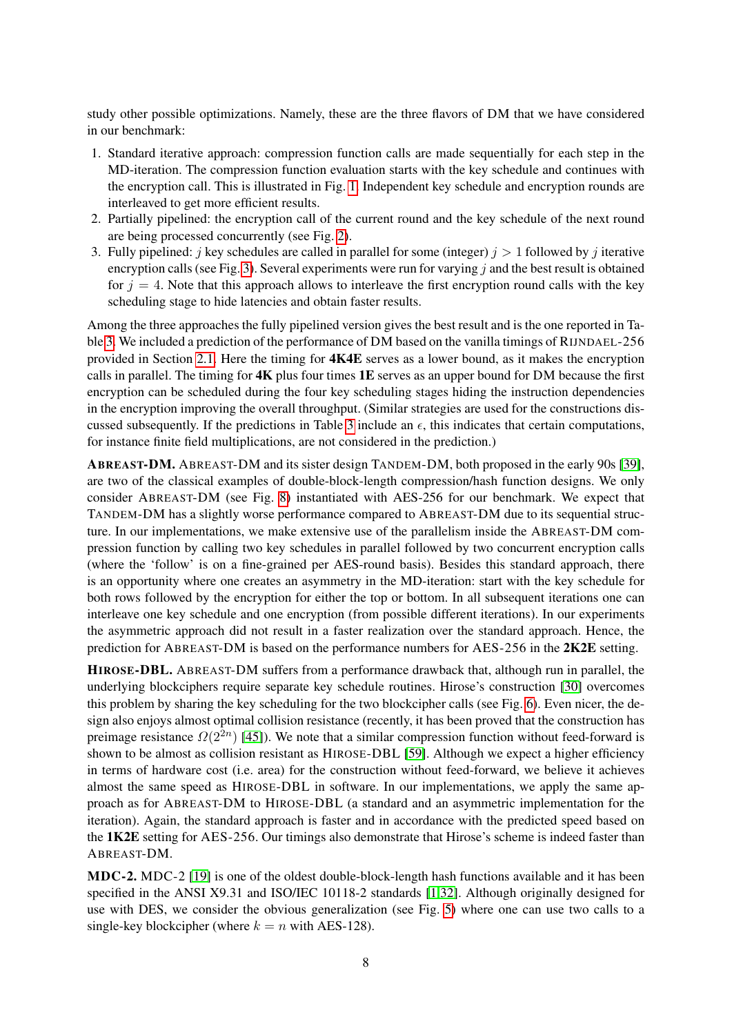study other possible optimizations. Namely, these are the three flavors of DM that we have considered in our benchmark:

- 1. Standard iterative approach: compression function calls are made sequentially for each step in the MD-iteration. The compression function evaluation starts with the key schedule and continues with the encryption call. This is illustrated in Fig. [1.](#page-16-0) Independent key schedule and encryption rounds are interleaved to get more efficient results.
- 2. Partially pipelined: the encryption call of the current round and the key schedule of the next round are being processed concurrently (see Fig. [2\)](#page-16-1).
- 3. Fully pipelined: j key schedules are called in parallel for some (integer)  $j > 1$  followed by j iterative encryption calls (see Fig. [3\)](#page-17-0). Several experiments were run for varying  $j$  and the best result is obtained for  $j = 4$ . Note that this approach allows to interleave the first encryption round calls with the key scheduling stage to hide latencies and obtain faster results.

Among the three approaches the fully pipelined version gives the best result and is the one reported in Table [3.](#page-6-0) We included a prediction of the performance of DM based on the vanilla timings of RIJNDAEL-256 provided in Section [2.1.](#page-2-0) Here the timing for 4K4E serves as a lower bound, as it makes the encryption calls in parallel. The timing for  $4K$  plus four times  $1E$  serves as an upper bound for DM because the first encryption can be scheduled during the four key scheduling stages hiding the instruction dependencies in the encryption improving the overall throughput. (Similar strategies are used for the constructions dis-cussed subsequently. If the predictions in Table [3](#page-6-0) include an  $\epsilon$ , this indicates that certain computations, for instance finite field multiplications, are not considered in the prediction.)

ABREAST-DM. ABREAST-DM and its sister design TANDEM-DM, both proposed in the early 90s [\[39\]](#page-13-1), are two of the classical examples of double-block-length compression/hash function designs. We only consider ABREAST-DM (see Fig. [8\)](#page-17-1) instantiated with AES-256 for our benchmark. We expect that TANDEM-DM has a slightly worse performance compared to ABREAST-DM due to its sequential structure. In our implementations, we make extensive use of the parallelism inside the ABREAST-DM compression function by calling two key schedules in parallel followed by two concurrent encryption calls (where the 'follow' is on a fine-grained per AES-round basis). Besides this standard approach, there is an opportunity where one creates an asymmetry in the MD-iteration: start with the key schedule for both rows followed by the encryption for either the top or bottom. In all subsequent iterations one can interleave one key schedule and one encryption (from possible different iterations). In our experiments the asymmetric approach did not result in a faster realization over the standard approach. Hence, the prediction for ABREAST-DM is based on the performance numbers for AES-256 in the 2K2E setting.

HIROSE-DBL. ABREAST-DM suffers from a performance drawback that, although run in parallel, the underlying blockciphers require separate key schedule routines. Hirose's construction [\[30\]](#page-13-18) overcomes this problem by sharing the key scheduling for the two blockcipher calls (see Fig. [6\)](#page-17-2). Even nicer, the design also enjoys almost optimal collision resistance (recently, it has been proved that the construction has preimage resistance  $\Omega(2^{2n})$  [\[45\]](#page-13-26)). We note that a similar compression function without feed-forward is shown to be almost as collision resistant as HIROSE-DBL [\[59\]](#page-14-19). Although we expect a higher efficiency in terms of hardware cost (i.e. area) for the construction without feed-forward, we believe it achieves almost the same speed as HIROSE-DBL in software. In our implementations, we apply the same approach as for ABREAST-DM to HIROSE-DBL (a standard and an asymmetric implementation for the iteration). Again, the standard approach is faster and in accordance with the predicted speed based on the 1K2E setting for AES-256. Our timings also demonstrate that Hirose's scheme is indeed faster than ABREAST-DM.

MDC-2. MDC-2 [\[19\]](#page-12-23) is one of the oldest double-block-length hash functions available and it has been specified in the ANSI X9.31 and ISO/IEC 10118-2 standards [\[1](#page-12-24)[,32\]](#page-13-27). Although originally designed for use with DES, we consider the obvious generalization (see Fig. [5\)](#page-17-3) where one can use two calls to a single-key blockcipher (where  $k = n$  with AES-128).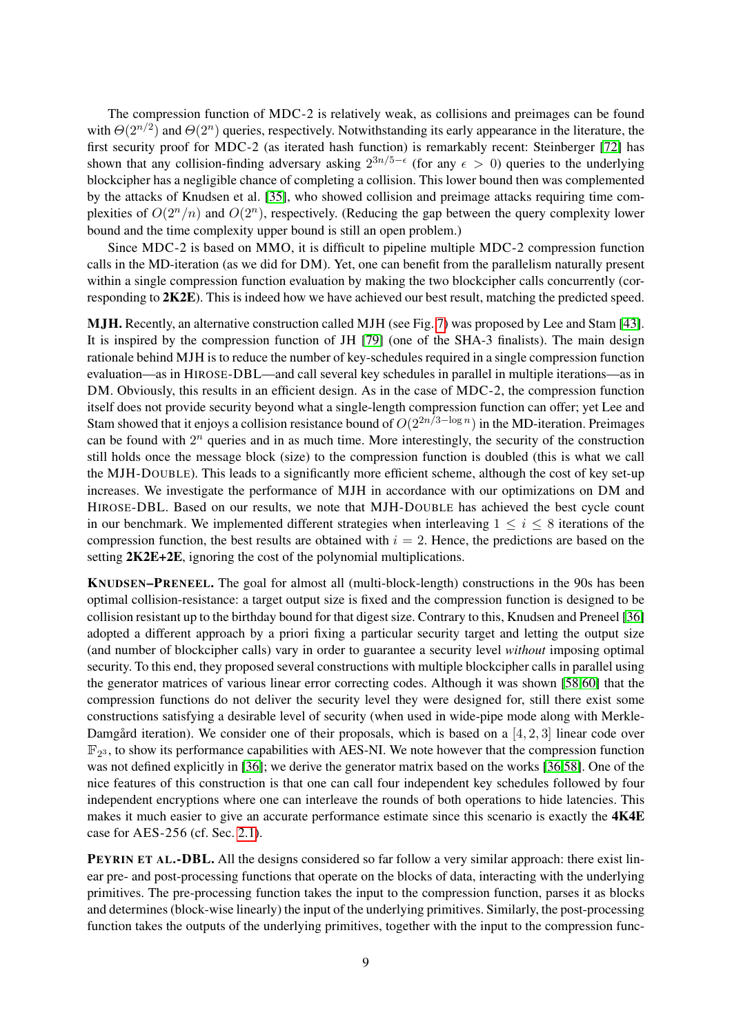The compression function of MDC-2 is relatively weak, as collisions and preimages can be found with  $\Theta(2^{n/2})$  and  $\Theta(2^n)$  queries, respectively. Notwithstanding its early appearance in the literature, the first security proof for MDC-2 (as iterated hash function) is remarkably recent: Steinberger [\[72\]](#page-14-13) has shown that any collision-finding adversary asking  $2^{3n/5-\epsilon}$  (for any  $\epsilon > 0$ ) queries to the underlying blockcipher has a negligible chance of completing a collision. This lower bound then was complemented by the attacks of Knudsen et al. [\[35\]](#page-13-24), who showed collision and preimage attacks requiring time complexities of  $O(2^n/n)$  and  $O(2^n)$ , respectively. (Reducing the gap between the query complexity lower bound and the time complexity upper bound is still an open problem.)

Since MDC-2 is based on MMO, it is difficult to pipeline multiple MDC-2 compression function calls in the MD-iteration (as we did for DM). Yet, one can benefit from the parallelism naturally present within a single compression function evaluation by making the two blockcipher calls concurrently (corresponding to 2K2E). This is indeed how we have achieved our best result, matching the predicted speed.

MJH. Recently, an alternative construction called MJH (see Fig. [7\)](#page-17-4) was proposed by Lee and Stam [\[43\]](#page-13-25). It is inspired by the compression function of JH [\[79\]](#page-14-20) (one of the SHA-3 finalists). The main design rationale behind MJH is to reduce the number of key-schedules required in a single compression function evaluation—as in HIROSE-DBL—and call several key schedules in parallel in multiple iterations—as in DM. Obviously, this results in an efficient design. As in the case of MDC-2, the compression function itself does not provide security beyond what a single-length compression function can offer; yet Lee and Stam showed that it enjoys a collision resistance bound of  $O(2^{2n/3 - \log n})$  in the MD-iteration. Preimages can be found with  $2^n$  queries and in as much time. More interestingly, the security of the construction still holds once the message block (size) to the compression function is doubled (this is what we call the MJH-DOUBLE). This leads to a significantly more efficient scheme, although the cost of key set-up increases. We investigate the performance of MJH in accordance with our optimizations on DM and HIROSE-DBL. Based on our results, we note that MJH-DOUBLE has achieved the best cycle count in our benchmark. We implemented different strategies when interleaving  $1 \leq i \leq 8$  iterations of the compression function, the best results are obtained with  $i = 2$ . Hence, the predictions are based on the setting 2K2E+2E, ignoring the cost of the polynomial multiplications.

KNUDSEN–PRENEEL. The goal for almost all (multi-block-length) constructions in the 90s has been optimal collision-resistance: a target output size is fixed and the compression function is designed to be collision resistant up to the birthday bound for that digest size. Contrary to this, Knudsen and Preneel [\[36\]](#page-13-20) adopted a different approach by a priori fixing a particular security target and letting the output size (and number of blockcipher calls) vary in order to guarantee a security level *without* imposing optimal security. To this end, they proposed several constructions with multiple blockcipher calls in parallel using the generator matrices of various linear error correcting codes. Although it was shown [\[58,](#page-13-21)[60\]](#page-14-10) that the compression functions do not deliver the security level they were designed for, still there exist some constructions satisfying a desirable level of security (when used in wide-pipe mode along with Merkle-Damgård iteration). We consider one of their proposals, which is based on a [4, 2, 3] linear code over  $\mathbb{F}_{2^3}$ , to show its performance capabilities with AES-NI. We note however that the compression function was not defined explicitly in [\[36\]](#page-13-20); we derive the generator matrix based on the works [\[36,](#page-13-20)[58\]](#page-13-21). One of the nice features of this construction is that one can call four independent key schedules followed by four independent encryptions where one can interleave the rounds of both operations to hide latencies. This makes it much easier to give an accurate performance estimate since this scenario is exactly the **4K4E** case for AES-256 (cf. Sec. [2.1\)](#page-2-0).

PEYRIN ET AL.-DBL. All the designs considered so far follow a very similar approach: there exist linear pre- and post-processing functions that operate on the blocks of data, interacting with the underlying primitives. The pre-processing function takes the input to the compression function, parses it as blocks and determines (block-wise linearly) the input of the underlying primitives. Similarly, the post-processing function takes the outputs of the underlying primitives, together with the input to the compression func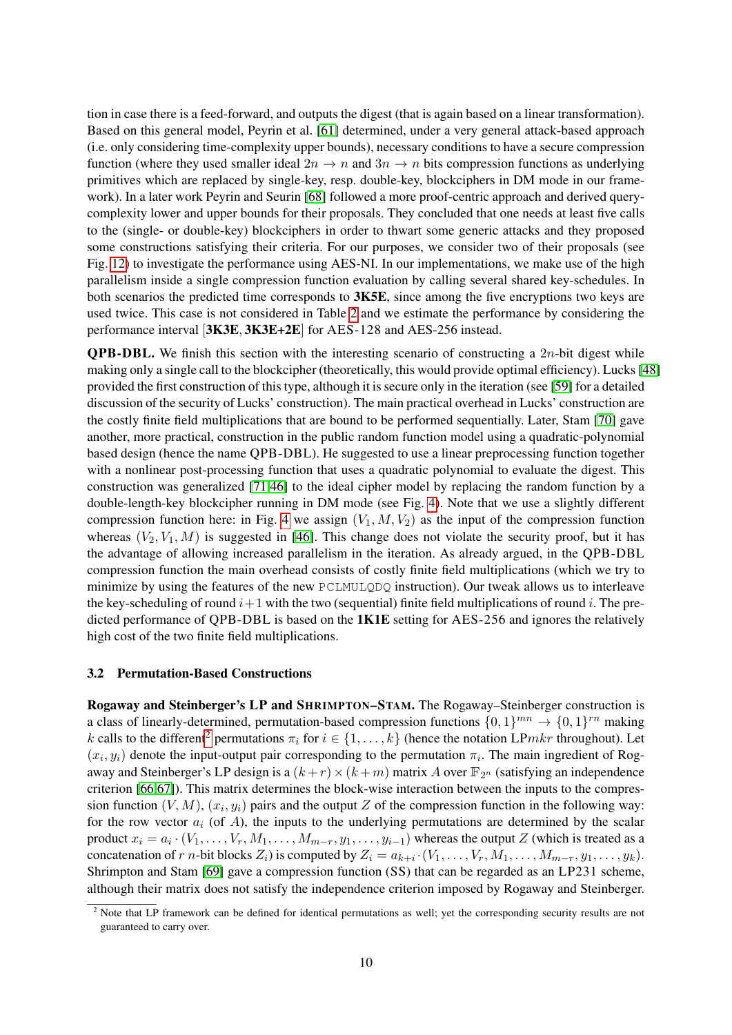tion in case there is a feed-forward, and outputs the digest (that is again based on a linear transformation). Based on this general model, Peyrin et al. [\[61\]](#page-14-15) determined, under a very general attack-based approach (i.e. only considering time-complexity upper bounds), necessary conditions to have a secure compression function (where they used smaller ideal  $2n \to n$  and  $3n \to n$  bits compression functions as underlying primitives which are replaced by single-key, resp. double-key, blockciphers in DM mode in our framework). In a later work Peyrin and Seurin [\[68\]](#page-14-16) followed a more proof-centric approach and derived querycomplexity lower and upper bounds for their proposals. They concluded that one needs at least five calls to the (single- or double-key) blockciphers in order to thwart some generic attacks and they proposed some constructions satisfying their criteria. For our purposes, we consider two of their proposals (see Fig. [12\)](#page-18-0) to investigate the performance using AES-NI. In our implementations, we make use of the high parallelism inside a single compression function evaluation by calling several shared key-schedules. In both scenarios the predicted time corresponds to 3K5E, since among the five encryptions two keys are used twice. This case is not considered in Table [2](#page-4-0) and we estimate the performance by considering the performance interval [3K3E, 3K3E+2E] for AES-128 and AES-256 instead.

**QPB-DBL.** We finish this section with the interesting scenario of constructing a  $2n$ -bit digest while making only a single call to the blockcipher (theoretically, this would provide optimal efficiency). Lucks [\[48\]](#page-13-28) provided the first construction of this type, although it is secure only in the iteration (see [\[59\]](#page-14-19) for a detailed discussion of the security of Lucks' construction). The main practical overhead in Lucks' construction are the costly finite field multiplications that are bound to be performed sequentially. Later, Stam [\[70\]](#page-14-14) gave another, more practical, construction in the public random function model using a quadratic-polynomial based design (hence the name QPB-DBL). He suggested to use a linear preprocessing function together with a nonlinear post-processing function that uses a quadratic polynomial to evaluate the digest. This construction was generalized [\[71,](#page-14-9)[46\]](#page-13-29) to the ideal cipher model by replacing the random function by a double-length-key blockcipher running in DM mode (see Fig. [4\)](#page-17-5). Note that we use a slightly different compression function here: in Fig. [4](#page-17-5) we assign  $(V_1, M, V_2)$  as the input of the compression function whereas  $(V_2, V_1, M)$  is suggested in [\[46\]](#page-13-29). This change does not violate the security proof, but it has the advantage of allowing increased parallelism in the iteration. As already argued, in the QPB-DBL compression function the main overhead consists of costly finite field multiplications (which we try to minimize by using the features of the new PCLMULQDQ instruction). Our tweak allows us to interleave the key-scheduling of round  $i+1$  with the two (sequential) finite field multiplications of round i. The predicted performance of QPB-DBL is based on the **1K1E** setting for AES-256 and ignores the relatively high cost of the two finite field multiplications.

### 3.2 Permutation-Based Constructions

Rogaway and Steinberger's LP and SHRIMPTON–STAM. The Rogaway–Steinberger construction is a class of linearly-determined, permutation-based compression functions  $\{0, 1\}^{mn} \rightarrow \{0, 1\}^{rn}$  making k calls to the different<sup>[2](#page-9-0)</sup> permutations  $\pi_i$  for  $i \in \{1, \ldots, k\}$  (hence the notation LP*mkr* throughout). Let  $(x_i, y_i)$  denote the input-output pair corresponding to the permutation  $\pi_i$ . The main ingredient of Rogaway and Steinberger's LP design is a  $(k + r) \times (k + m)$  matrix A over  $\mathbb{F}_{2^n}$  (satisfying an independence criterion [\[66](#page-14-11)[,67\]](#page-14-12)). This matrix determines the block-wise interaction between the inputs to the compression function  $(V, M)$ ,  $(x_i, y_i)$  pairs and the output Z of the compression function in the following way: for the row vector  $a_i$  (of A), the inputs to the underlying permutations are determined by the scalar product  $x_i = a_i \cdot (V_1, \dots, V_r, M_1, \dots, M_{m-r}, y_1, \dots, y_{i-1})$  whereas the output Z (which is treated as a concatenation of r n-bit blocks  $Z_i$ ) is computed by  $Z_i = a_{k+i} \cdot (V_1, \dots, V_r, M_1, \dots, M_{m-r}, y_1, \dots, y_k)$ . Shrimpton and Stam [\[69\]](#page-14-17) gave a compression function (SS) that can be regarded as an LP231 scheme, although their matrix does not satisfy the independence criterion imposed by Rogaway and Steinberger.

<span id="page-9-0"></span><sup>&</sup>lt;sup>2</sup> Note that LP framework can be defined for identical permutations as well; yet the corresponding security results are not guaranteed to carry over.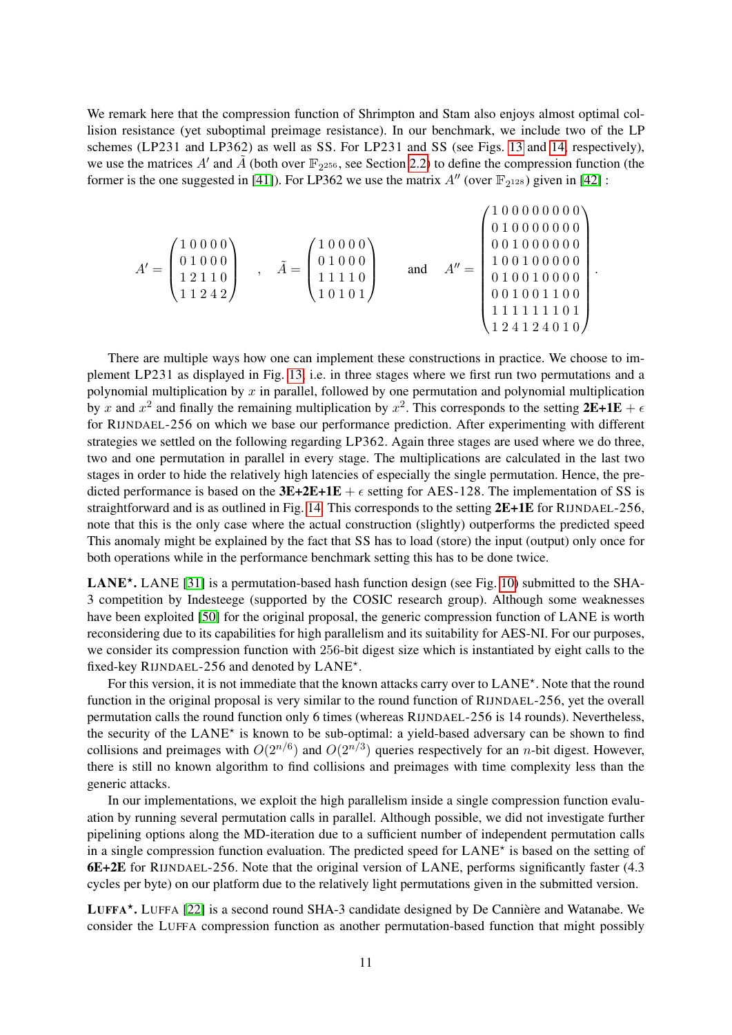We remark here that the compression function of Shrimpton and Stam also enjoys almost optimal collision resistance (yet suboptimal preimage resistance). In our benchmark, we include two of the LP schemes (LP231 and LP362) as well as SS. For LP231 and SS (see Figs. [13](#page-19-0) and [14,](#page-19-1) respectively), we use the matrices A' and  $\tilde{A}$  (both over  $\mathbb{F}_{2^{256}}$ , see Section [2.2\)](#page-4-1) to define the compression function (the former is the one suggested in [\[41\]](#page-13-22)). For LP362 we use the matrix  $A''$  (over  $\mathbb{F}_{2^{128}}$ ) given in [\[42\]](#page-13-23) :

$$
A' = \begin{pmatrix} 1 & 0 & 0 & 0 & 0 \\ 0 & 1 & 0 & 0 & 0 \\ 1 & 2 & 1 & 1 & 0 \\ 1 & 1 & 2 & 4 & 2 \end{pmatrix} , \quad \tilde{A} = \begin{pmatrix} 1 & 0 & 0 & 0 & 0 \\ 0 & 1 & 0 & 0 & 0 \\ 0 & 1 & 0 & 0 & 0 \\ 1 & 1 & 1 & 1 & 0 \\ 1 & 0 & 1 & 0 & 1 \end{pmatrix} \quad \text{and} \quad A'' = \begin{pmatrix} 1 & 0 & 0 & 0 & 0 & 0 & 0 \\ 0 & 1 & 0 & 0 & 0 & 0 & 0 & 0 \\ 0 & 0 & 1 & 0 & 0 & 0 & 0 & 0 \\ 0 & 1 & 0 & 0 & 0 & 0 & 0 & 0 \\ 0 & 0 & 1 & 0 & 0 & 0 & 0 & 0 \\ 1 & 1 & 1 & 1 & 1 & 1 & 0 & 1 \\ 1 & 2 & 4 & 1 & 2 & 4 & 0 & 1 \end{pmatrix}
$$

.

There are multiple ways how one can implement these constructions in practice. We choose to implement LP231 as displayed in Fig. [13,](#page-19-0) i.e. in three stages where we first run two permutations and a polynomial multiplication by  $x$  in parallel, followed by one permutation and polynomial multiplication by x and  $x^2$  and finally the remaining multiplication by  $x^2$ . This corresponds to the setting  $2E+1E + \epsilon$ for RIJNDAEL-256 on which we base our performance prediction. After experimenting with different strategies we settled on the following regarding LP362. Again three stages are used where we do three, two and one permutation in parallel in every stage. The multiplications are calculated in the last two stages in order to hide the relatively high latencies of especially the single permutation. Hence, the predicted performance is based on the **3E+2E+1E** +  $\epsilon$  setting for AES-128. The implementation of SS is straightforward and is as outlined in Fig. [14.](#page-19-1) This corresponds to the setting 2E+1E for RIJNDAEL-256, note that this is the only case where the actual construction (slightly) outperforms the predicted speed This anomaly might be explained by the fact that SS has to load (store) the input (output) only once for both operations while in the performance benchmark setting this has to be done twice.

LANE<sup>\*</sup>. LANE [\[31\]](#page-13-13) is a permutation-based hash function design (see Fig. [10\)](#page-18-1) submitted to the SHA-3 competition by Indesteege (supported by the COSIC research group). Although some weaknesses have been exploited [\[50\]](#page-13-30) for the original proposal, the generic compression function of LANE is worth reconsidering due to its capabilities for high parallelism and its suitability for AES-NI. For our purposes, we consider its compression function with 256-bit digest size which is instantiated by eight calls to the fixed-key RIJNDAEL-256 and denoted by LANE\*.

For this version, it is not immediate that the known attacks carry over to LANE\*. Note that the round function in the original proposal is very similar to the round function of RIJNDAEL-256, yet the overall permutation calls the round function only 6 times (whereas RIJNDAEL-256 is 14 rounds). Nevertheless, the security of the LANE<sup>\*</sup> is known to be sub-optimal: a yield-based adversary can be shown to find collisions and preimages with  $O(2^{n/6})$  and  $O(2^{n/3})$  queries respectively for an *n*-bit digest. However, there is still no known algorithm to find collisions and preimages with time complexity less than the generic attacks.

In our implementations, we exploit the high parallelism inside a single compression function evaluation by running several permutation calls in parallel. Although possible, we did not investigate further pipelining options along the MD-iteration due to a sufficient number of independent permutation calls in a single compression function evaluation. The predicted speed for LANE<sup>\*</sup> is based on the setting of 6E+2E for RIJNDAEL-256. Note that the original version of LANE, performs significantly faster (4.3 cycles per byte) on our platform due to the relatively light permutations given in the submitted version.

LUFFA<sup>\*</sup>. LUFFA [\[22\]](#page-12-22) is a second round SHA-3 candidate designed by De Cannière and Watanabe. We consider the LUFFA compression function as another permutation-based function that might possibly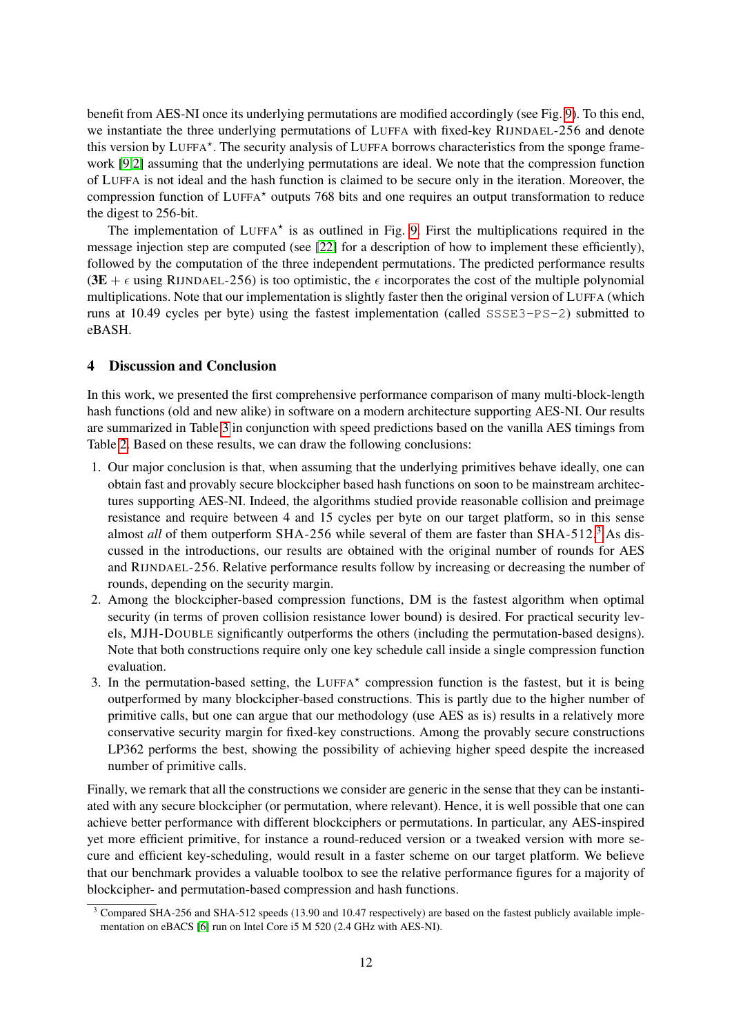benefit from AES-NI once its underlying permutations are modified accordingly (see Fig. [9\)](#page-18-2). To this end, we instantiate the three underlying permutations of LUFFA with fixed-key RIJNDAEL-256 and denote this version by LUFFA\*. The security analysis of LUFFA borrows characteristics from the sponge framework [\[9](#page-12-4)[,2\]](#page-12-25) assuming that the underlying permutations are ideal. We note that the compression function of LUFFA is not ideal and the hash function is claimed to be secure only in the iteration. Moreover, the compression function of LUFFA? outputs 768 bits and one requires an output transformation to reduce the digest to 256-bit.

The implementation of  $LUFFA^*$  is as outlined in Fig. [9.](#page-18-2) First the multiplications required in the message injection step are computed (see [\[22\]](#page-12-22) for a description of how to implement these efficiently), followed by the computation of the three independent permutations. The predicted performance results (3E +  $\epsilon$  using RIJNDAEL-256) is too optimistic, the  $\epsilon$  incorporates the cost of the multiple polynomial multiplications. Note that our implementation is slightly faster then the original version of LUFFA (which runs at 10.49 cycles per byte) using the fastest implementation (called SSSE3-PS-2) submitted to eBASH.

## <span id="page-11-0"></span>4 Discussion and Conclusion

In this work, we presented the first comprehensive performance comparison of many multi-block-length hash functions (old and new alike) in software on a modern architecture supporting AES-NI. Our results are summarized in Table [3](#page-6-0) in conjunction with speed predictions based on the vanilla AES timings from Table [2.](#page-4-0) Based on these results, we can draw the following conclusions:

- 1. Our major conclusion is that, when assuming that the underlying primitives behave ideally, one can obtain fast and provably secure blockcipher based hash functions on soon to be mainstream architectures supporting AES-NI. Indeed, the algorithms studied provide reasonable collision and preimage resistance and require between 4 and 15 cycles per byte on our target platform, so in this sense almost *all* of them outperform SHA-256 while several of them are faster than SHA-512.<sup>[3](#page-11-1)</sup> As discussed in the introductions, our results are obtained with the original number of rounds for AES and RIJNDAEL-256. Relative performance results follow by increasing or decreasing the number of rounds, depending on the security margin.
- 2. Among the blockcipher-based compression functions, DM is the fastest algorithm when optimal security (in terms of proven collision resistance lower bound) is desired. For practical security levels, MJH-DOUBLE significantly outperforms the others (including the permutation-based designs). Note that both constructions require only one key schedule call inside a single compression function evaluation.
- 3. In the permutation-based setting, the LUFFA<sup>\*</sup> compression function is the fastest, but it is being outperformed by many blockcipher-based constructions. This is partly due to the higher number of primitive calls, but one can argue that our methodology (use AES as is) results in a relatively more conservative security margin for fixed-key constructions. Among the provably secure constructions LP362 performs the best, showing the possibility of achieving higher speed despite the increased number of primitive calls.

Finally, we remark that all the constructions we consider are generic in the sense that they can be instantiated with any secure blockcipher (or permutation, where relevant). Hence, it is well possible that one can achieve better performance with different blockciphers or permutations. In particular, any AES-inspired yet more efficient primitive, for instance a round-reduced version or a tweaked version with more secure and efficient key-scheduling, would result in a faster scheme on our target platform. We believe that our benchmark provides a valuable toolbox to see the relative performance figures for a majority of blockcipher- and permutation-based compression and hash functions.

<span id="page-11-1"></span><sup>&</sup>lt;sup>3</sup> Compared SHA-256 and SHA-512 speeds (13.90 and 10.47 respectively) are based on the fastest publicly available implementation on eBACS [\[6\]](#page-12-26) run on Intel Core i5 M 520 (2.4 GHz with AES-NI).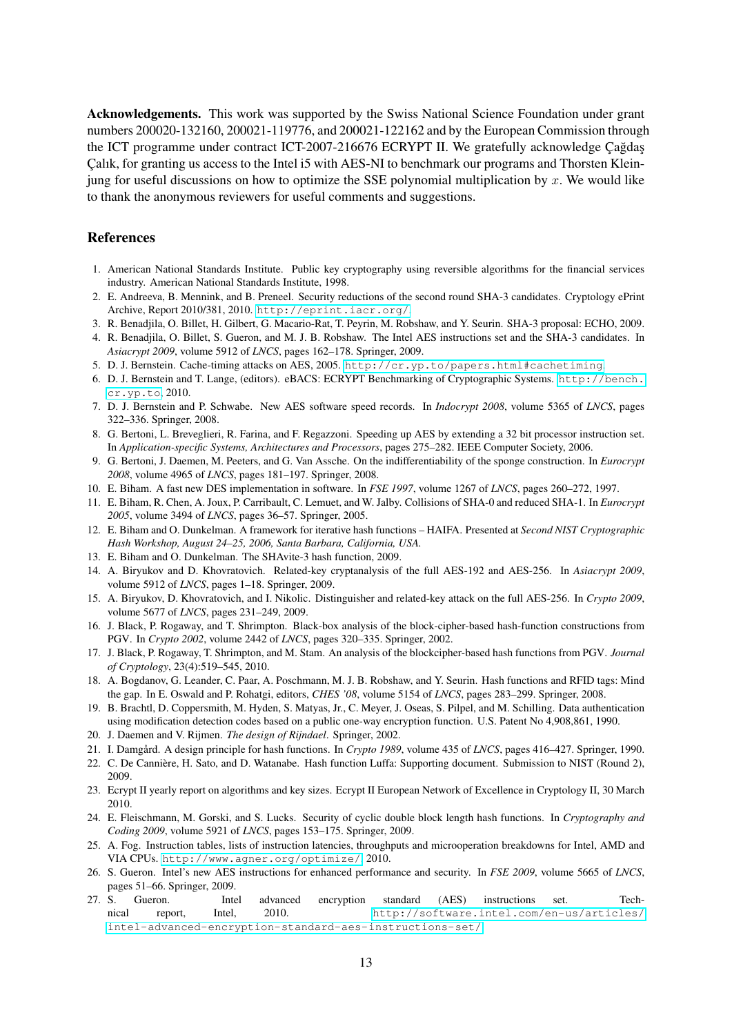Acknowledgements. This work was supported by the Swiss National Science Foundation under grant numbers 200020-132160, 200021-119776, and 200021-122162 and by the European Commission through the ICT programme under contract ICT-2007-216676 ECRYPT II. We gratefully acknowledge Çağdaş Çalık, for granting us access to the Intel i5 with AES-NI to benchmark our programs and Thorsten Kleinjung for useful discussions on how to optimize the SSE polynomial multiplication by  $x$ . We would like to thank the anonymous reviewers for useful comments and suggestions.

## References

- <span id="page-12-24"></span>1. American National Standards Institute. Public key cryptography using reversible algorithms for the financial services industry. American National Standards Institute, 1998.
- <span id="page-12-25"></span>2. E. Andreeva, B. Mennink, and B. Preneel. Security reductions of the second round SHA-3 candidates. Cryptology ePrint Archive, Report 2010/381, 2010. <http://eprint.iacr.org/>.
- <span id="page-12-18"></span>3. R. Benadjila, O. Billet, H. Gilbert, G. Macario-Rat, T. Peyrin, M. Robshaw, and Y. Seurin. SHA-3 proposal: ECHO, 2009.
- <span id="page-12-8"></span>4. R. Benadjila, O. Billet, S. Gueron, and M. J. B. Robshaw. The Intel AES instructions set and the SHA-3 candidates. In *Asiacrypt 2009*, volume 5912 of *LNCS*, pages 162–178. Springer, 2009.
- <span id="page-12-12"></span>5. D. J. Bernstein. Cache-timing attacks on AES, 2005. <http://cr.yp.to/papers.html#cachetiming>.
- <span id="page-12-26"></span>6. D. J. Bernstein and T. Lange, (editors). eBACS: ECRYPT Benchmarking of Cryptographic Systems. [http://bench.](http://bench.cr.yp.to) [cr.yp.to](http://bench.cr.yp.to), 2010.
- <span id="page-12-14"></span>7. D. J. Bernstein and P. Schwabe. New AES software speed records. In *Indocrypt 2008*, volume 5365 of *LNCS*, pages 322–336. Springer, 2008.
- <span id="page-12-15"></span>8. G. Bertoni, L. Breveglieri, R. Farina, and F. Regazzoni. Speeding up AES by extending a 32 bit processor instruction set. In *Application-specific Systems, Architectures and Processors*, pages 275–282. IEEE Computer Society, 2006.
- <span id="page-12-4"></span>9. G. Bertoni, J. Daemen, M. Peeters, and G. Van Assche. On the indifferentiability of the sponge construction. In *Eurocrypt 2008*, volume 4965 of *LNCS*, pages 181–197. Springer, 2008.
- <span id="page-12-13"></span>10. E. Biham. A fast new DES implementation in software. In *FSE 1997*, volume 1267 of *LNCS*, pages 260–272, 1997.
- <span id="page-12-17"></span>11. E. Biham, R. Chen, A. Joux, P. Carribault, C. Lemuet, and W. Jalby. Collisions of SHA-0 and reduced SHA-1. In *Eurocrypt 2005*, volume 3494 of *LNCS*, pages 36–57. Springer, 2005.
- <span id="page-12-3"></span>12. E. Biham and O. Dunkelman. A framework for iterative hash functions – HAIFA. Presented at *Second NIST Cryptographic Hash Workshop, August 24–25, 2006, Santa Barbara, California, USA.*
- <span id="page-12-19"></span>13. E. Biham and O. Dunkelman. The SHAvite-3 hash function, 2009.
- <span id="page-12-9"></span>14. A. Biryukov and D. Khovratovich. Related-key cryptanalysis of the full AES-192 and AES-256. In *Asiacrypt 2009*, volume 5912 of *LNCS*, pages 1–18. Springer, 2009.
- <span id="page-12-10"></span>15. A. Biryukov, D. Khovratovich, and I. Nikolic. Distinguisher and related-key attack on the full AES-256. In *Crypto 2009*, volume 5677 of *LNCS*, pages 231–249, 2009.
- <span id="page-12-21"></span>16. J. Black, P. Rogaway, and T. Shrimpton. Black-box analysis of the block-cipher-based hash-function constructions from PGV. In *Crypto 2002*, volume 2442 of *LNCS*, pages 320–335. Springer, 2002.
- <span id="page-12-1"></span>17. J. Black, P. Rogaway, T. Shrimpton, and M. Stam. An analysis of the blockcipher-based hash functions from PGV. *Journal of Cryptology*, 23(4):519–545, 2010.
- <span id="page-12-5"></span>18. A. Bogdanov, G. Leander, C. Paar, A. Poschmann, M. J. B. Robshaw, and Y. Seurin. Hash functions and RFID tags: Mind the gap. In E. Oswald and P. Rohatgi, editors, *CHES '08*, volume 5154 of *LNCS*, pages 283–299. Springer, 2008.
- <span id="page-12-23"></span>19. B. Brachtl, D. Coppersmith, M. Hyden, S. Matyas, Jr., C. Meyer, J. Oseas, S. Pilpel, and M. Schilling. Data authentication using modification detection codes based on a public one-way encryption function. U.S. Patent No 4,908,861, 1990.
- <span id="page-12-11"></span>20. J. Daemen and V. Rijmen. *The design of Rijndael*. Springer, 2002.
- <span id="page-12-0"></span>21. I. Damgård. A design principle for hash functions. In *Crypto 1989*, volume 435 of *LNCS*, pages 416–427. Springer, 1990.
- <span id="page-12-22"></span>22. C. De Cannière, H. Sato, and D. Watanabe. Hash function Luffa: Supporting document. Submission to NIST (Round 2), 2009.
- <span id="page-12-2"></span>23. Ecrypt II yearly report on algorithms and key sizes. Ecrypt II European Network of Excellence in Cryptology II, 30 March 2010.
- <span id="page-12-20"></span>24. E. Fleischmann, M. Gorski, and S. Lucks. Security of cyclic double block length hash functions. In *Cryptography and Coding 2009*, volume 5921 of *LNCS*, pages 153–175. Springer, 2009.
- <span id="page-12-16"></span>25. A. Fog. Instruction tables, lists of instruction latencies, throughputs and microoperation breakdowns for Intel, AMD and VIA CPUs. <http://www.agner.org/optimize/>, 2010.
- <span id="page-12-6"></span>26. S. Gueron. Intel's new AES instructions for enhanced performance and security. In *FSE 2009*, volume 5665 of *LNCS*, pages 51–66. Springer, 2009.
- <span id="page-12-7"></span>27. S. Gueron. Intel advanced encryption standard (AES) instructions set. Technical report, Intel, 2010. [http://software.intel.com/en-us/articles/](http://software.intel.com/en-us/articles/intel-advanced-encryption-standard-aes-instructions-set/) [intel-advanced-encryption-standard-aes-instructions-set/](http://software.intel.com/en-us/articles/intel-advanced-encryption-standard-aes-instructions-set/).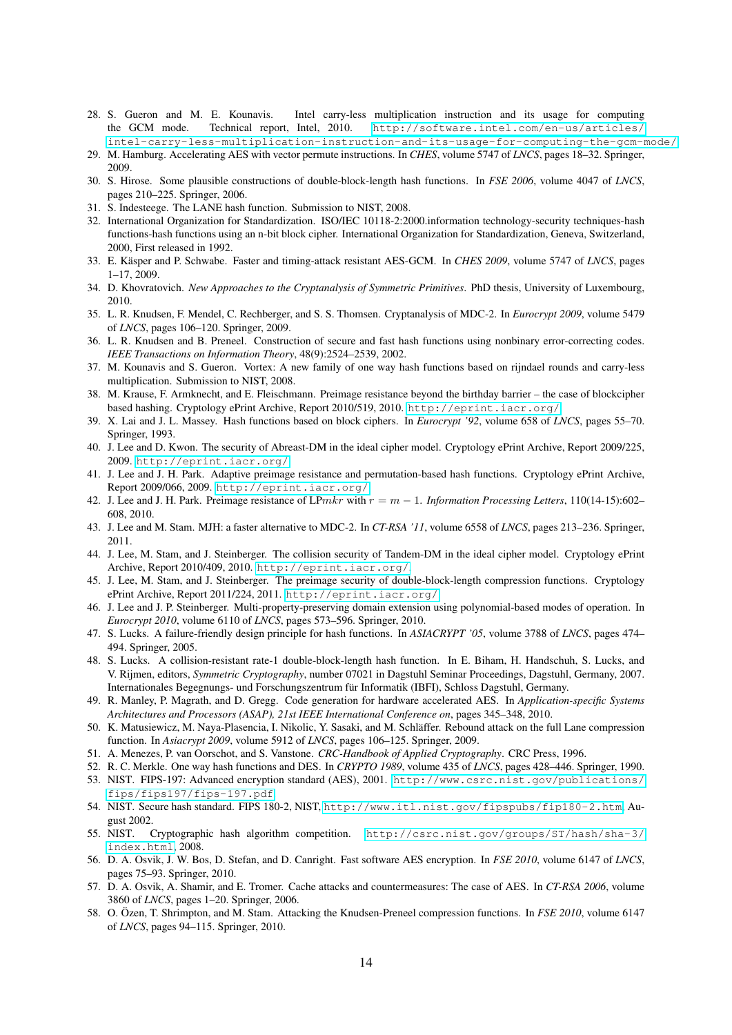- <span id="page-13-10"></span>28. S. Gueron and M. E. Kounavis. Intel carry-less multiplication instruction and its usage for computing the GCM mode. Technical report, Intel, 2010. http://software.intel.com/en-us/articles/ the GCM mode. Technical report, Intel, 2010. [http://software.intel.com/en-us/articles/](http://software.intel.com/en-us/articles/intel-carry-less-multiplication-instruction-and-its-usage-for-computing-the-gcm-mode/) [intel-carry-less-multiplication-instruction-and-its-usage-for-computing-the-gcm-mode/](http://software.intel.com/en-us/articles/intel-carry-less-multiplication-instruction-and-its-usage-for-computing-the-gcm-mode/).
- <span id="page-13-8"></span>29. M. Hamburg. Accelerating AES with vector permute instructions. In *CHES*, volume 5747 of *LNCS*, pages 18–32. Springer, 2009.
- <span id="page-13-18"></span>30. S. Hirose. Some plausible constructions of double-block-length hash functions. In *FSE 2006*, volume 4047 of *LNCS*, pages 210–225. Springer, 2006.
- <span id="page-13-13"></span>31. S. Indesteege. The LANE hash function. Submission to NIST, 2008.
- <span id="page-13-27"></span>32. International Organization for Standardization. ISO/IEC 10118-2:2000.information technology-security techniques-hash functions-hash functions using an n-bit block cipher. International Organization for Standardization, Geneva, Switzerland, 2000, First released in 1992.
- <span id="page-13-7"></span>33. E. Käsper and P. Schwabe. Faster and timing-attack resistant AES-GCM. In *CHES 2009*, volume 5747 of *LNCS*, pages 1–17, 2009.
- <span id="page-13-4"></span>34. D. Khovratovich. *New Approaches to the Cryptanalysis of Symmetric Primitives*. PhD thesis, University of Luxembourg, 2010.
- <span id="page-13-24"></span>35. L. R. Knudsen, F. Mendel, C. Rechberger, and S. S. Thomsen. Cryptanalysis of MDC-2. In *Eurocrypt 2009*, volume 5479 of *LNCS*, pages 106–120. Springer, 2009.
- <span id="page-13-20"></span>36. L. R. Knudsen and B. Preneel. Construction of secure and fast hash functions using nonbinary error-correcting codes. *IEEE Transactions on Information Theory*, 48(9):2524–2539, 2002.
- <span id="page-13-14"></span>37. M. Kounavis and S. Gueron. Vortex: A new family of one way hash functions based on rijndael rounds and carry-less multiplication. Submission to NIST, 2008.
- <span id="page-13-19"></span>38. M. Krause, F. Armknecht, and E. Fleischmann. Preimage resistance beyond the birthday barrier – the case of blockcipher based hashing. Cryptology ePrint Archive, Report 2010/519, 2010. <http://eprint.iacr.org/>.
- <span id="page-13-1"></span>39. X. Lai and J. L. Massey. Hash functions based on block ciphers. In *Eurocrypt '92*, volume 658 of *LNCS*, pages 55–70. Springer, 1993.
- <span id="page-13-15"></span>40. J. Lee and D. Kwon. The security of Abreast-DM in the ideal cipher model. Cryptology ePrint Archive, Report 2009/225, 2009. <http://eprint.iacr.org/>.
- <span id="page-13-22"></span>41. J. Lee and J. H. Park. Adaptive preimage resistance and permutation-based hash functions. Cryptology ePrint Archive, Report 2009/066, 2009. <http://eprint.iacr.org/>.
- <span id="page-13-23"></span>42. J. Lee and J. H. Park. Preimage resistance of LPmkr with r = m − 1. *Information Processing Letters*, 110(14-15):602– 608, 2010.
- <span id="page-13-25"></span>43. J. Lee and M. Stam. MJH: a faster alternative to MDC-2. In *CT-RSA '11*, volume 6558 of *LNCS*, pages 213–236. Springer, 2011.
- <span id="page-13-16"></span>44. J. Lee, M. Stam, and J. Steinberger. The collision security of Tandem-DM in the ideal cipher model. Cryptology ePrint Archive, Report 2010/409, 2010. <http://eprint.iacr.org/>.
- <span id="page-13-26"></span>45. J. Lee, M. Stam, and J. Steinberger. The preimage security of double-block-length compression functions. Cryptology ePrint Archive, Report 2011/224, 2011. <http://eprint.iacr.org/>.
- <span id="page-13-29"></span>46. J. Lee and J. P. Steinberger. Multi-property-preserving domain extension using polynomial-based modes of operation. In *Eurocrypt 2010*, volume 6110 of *LNCS*, pages 573–596. Springer, 2010.
- <span id="page-13-3"></span>47. S. Lucks. A failure-friendly design principle for hash functions. In *ASIACRYPT '05*, volume 3788 of *LNCS*, pages 474– 494. Springer, 2005.
- <span id="page-13-28"></span>48. S. Lucks. A collision-resistant rate-1 double-block-length hash function. In E. Biham, H. Handschuh, S. Lucks, and V. Rijmen, editors, *Symmetric Cryptography*, number 07021 in Dagstuhl Seminar Proceedings, Dagstuhl, Germany, 2007. Internationales Begegnungs- und Forschungszentrum für Informatik (IBFI), Schloss Dagstuhl, Germany.
- <span id="page-13-11"></span>49. R. Manley, P. Magrath, and D. Gregg. Code generation for hardware accelerated AES. In *Application-specific Systems Architectures and Processors (ASAP), 21st IEEE International Conference on*, pages 345–348, 2010.
- <span id="page-13-30"></span>50. K. Matusiewicz, M. Naya-Plasencia, I. Nikolic, Y. Sasaki, and M. Schläffer. Rebound attack on the full Lane compression function. In *Asiacrypt 2009*, volume 5912 of *LNCS*, pages 106–125. Springer, 2009.
- <span id="page-13-17"></span>51. A. Menezes, P. van Oorschot, and S. Vanstone. *CRC-Handbook of Applied Cryptography*. CRC Press, 1996.
- <span id="page-13-0"></span>52. R. C. Merkle. One way hash functions and DES. In *CRYPTO 1989*, volume 435 of *LNCS*, pages 428–446. Springer, 1990.
- <span id="page-13-2"></span>53. NIST. FIPS-197: Advanced encryption standard (AES), 2001. [http://www.csrc.nist.gov/publications/](http://www.csrc.nist.gov/publications/fips/fips197/fips-197.pdf) [fips/fips197/fips-197.pdf](http://www.csrc.nist.gov/publications/fips/fips197/fips-197.pdf).
- <span id="page-13-12"></span>54. NIST. Secure hash standard. FIPS 180-2, NIST, <http://www.itl.nist.gov/fipspubs/fip180-2.htm>, August 2002.
- <span id="page-13-5"></span>55. NIST. Cryptographic hash algorithm competition. [http://csrc.nist.gov/groups/ST/hash/sha-3/](http://csrc.nist.gov/groups/ST/hash/sha-3/index.html) [index.html](http://csrc.nist.gov/groups/ST/hash/sha-3/index.html), 2008.
- <span id="page-13-9"></span>56. D. A. Osvik, J. W. Bos, D. Stefan, and D. Canright. Fast software AES encryption. In *FSE 2010*, volume 6147 of *LNCS*, pages 75–93. Springer, 2010.
- <span id="page-13-6"></span>57. D. A. Osvik, A. Shamir, and E. Tromer. Cache attacks and countermeasures: The case of AES. In *CT-RSA 2006*, volume 3860 of *LNCS*, pages 1–20. Springer, 2006.
- <span id="page-13-21"></span>58. O. Özen, T. Shrimpton, and M. Stam. Attacking the Knudsen-Preneel compression functions. In *FSE 2010*, volume 6147 of *LNCS*, pages 94–115. Springer, 2010.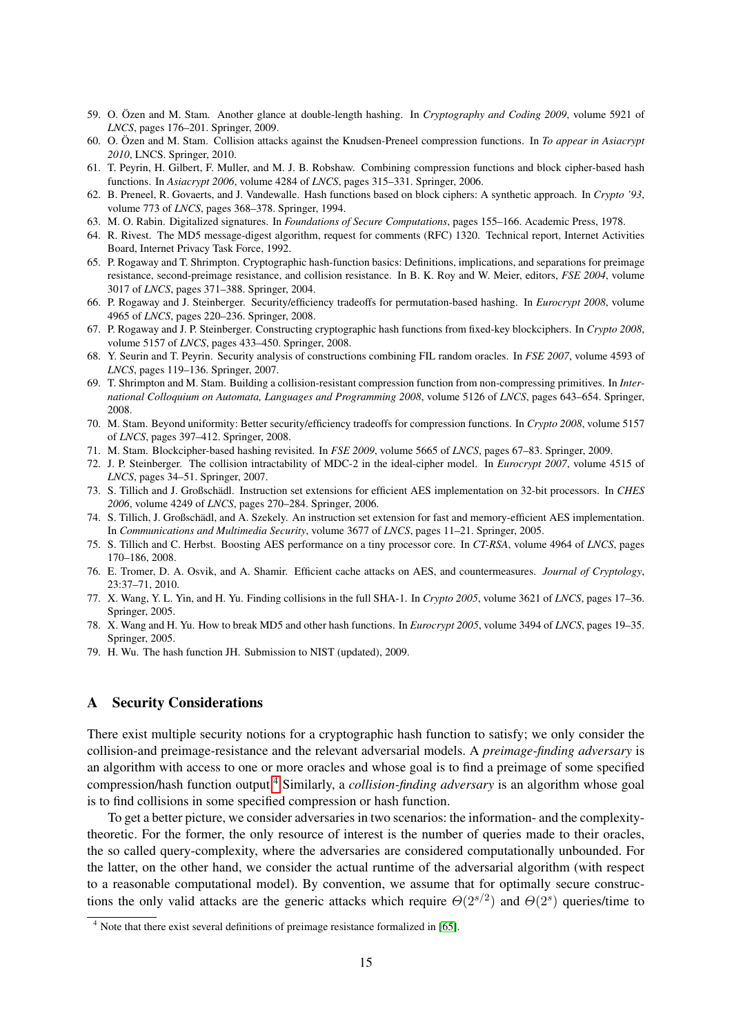- <span id="page-14-19"></span>59. O. Özen and M. Stam. Another glance at double-length hashing. In *Cryptography and Coding 2009*, volume 5921 of *LNCS*, pages 176–201. Springer, 2009.
- <span id="page-14-10"></span>60. O. Özen and M. Stam. Collision attacks against the Knudsen-Preneel compression functions. In *To appear in Asiacrypt 2010*, LNCS. Springer, 2010.
- <span id="page-14-15"></span>61. T. Peyrin, H. Gilbert, F. Muller, and M. J. B. Robshaw. Combining compression functions and block cipher-based hash functions. In *Asiacrypt 2006*, volume 4284 of *LNCS*, pages 315–331. Springer, 2006.
- <span id="page-14-1"></span>62. B. Preneel, R. Govaerts, and J. Vandewalle. Hash functions based on block ciphers: A synthetic approach. In *Crypto '93*, volume 773 of *LNCS*, pages 368–378. Springer, 1994.
- <span id="page-14-0"></span>63. M. O. Rabin. Digitalized signatures. In *Foundations of Secure Computations*, pages 155–166. Academic Press, 1978.
- <span id="page-14-18"></span>64. R. Rivest. The MD5 message-digest algorithm, request for comments (RFC) 1320. Technical report, Internet Activities Board, Internet Privacy Task Force, 1992.
- <span id="page-14-22"></span>65. P. Rogaway and T. Shrimpton. Cryptographic hash-function basics: Definitions, implications, and separations for preimage resistance, second-preimage resistance, and collision resistance. In B. K. Roy and W. Meier, editors, *FSE 2004*, volume 3017 of *LNCS*, pages 371–388. Springer, 2004.
- <span id="page-14-11"></span>66. P. Rogaway and J. Steinberger. Security/efficiency tradeoffs for permutation-based hashing. In *Eurocrypt 2008*, volume 4965 of *LNCS*, pages 220–236. Springer, 2008.
- <span id="page-14-12"></span>67. P. Rogaway and J. P. Steinberger. Constructing cryptographic hash functions from fixed-key blockciphers. In *Crypto 2008*, volume 5157 of *LNCS*, pages 433–450. Springer, 2008.
- <span id="page-14-16"></span>68. Y. Seurin and T. Peyrin. Security analysis of constructions combining FIL random oracles. In *FSE 2007*, volume 4593 of *LNCS*, pages 119–136. Springer, 2007.
- <span id="page-14-17"></span>69. T. Shrimpton and M. Stam. Building a collision-resistant compression function from non-compressing primitives. In *International Colloquium on Automata, Languages and Programming 2008*, volume 5126 of *LNCS*, pages 643–654. Springer, 2008.
- <span id="page-14-14"></span>70. M. Stam. Beyond uniformity: Better security/efficiency tradeoffs for compression functions. In *Crypto 2008*, volume 5157 of *LNCS*, pages 397–412. Springer, 2008.
- <span id="page-14-9"></span>71. M. Stam. Blockcipher-based hashing revisited. In *FSE 2009*, volume 5665 of *LNCS*, pages 67–83. Springer, 2009.
- <span id="page-14-13"></span>72. J. P. Steinberger. The collision intractability of MDC-2 in the ideal-cipher model. In *Eurocrypt 2007*, volume 4515 of *LNCS*, pages 34–51. Springer, 2007.
- <span id="page-14-5"></span>73. S. Tillich and J. Großschädl. Instruction set extensions for efficient AES implementation on 32-bit processors. In *CHES 2006*, volume 4249 of *LNCS*, pages 270–284. Springer, 2006.
- <span id="page-14-4"></span>74. S. Tillich, J. Großschädl, and A. Szekely. An instruction set extension for fast and memory-efficient AES implementation. In *Communications and Multimedia Security*, volume 3677 of *LNCS*, pages 11–21. Springer, 2005.
- <span id="page-14-6"></span>75. S. Tillich and C. Herbst. Boosting AES performance on a tiny processor core. In *CT-RSA*, volume 4964 of *LNCS*, pages 170–186, 2008.
- <span id="page-14-3"></span>76. E. Tromer, D. A. Osvik, and A. Shamir. Efficient cache attacks on AES, and countermeasures. *Journal of Cryptology*, 23:37–71, 2010.
- <span id="page-14-8"></span>77. X. Wang, Y. L. Yin, and H. Yu. Finding collisions in the full SHA-1. In *Crypto 2005*, volume 3621 of *LNCS*, pages 17–36. Springer, 2005.
- <span id="page-14-7"></span>78. X. Wang and H. Yu. How to break MD5 and other hash functions. In *Eurocrypt 2005*, volume 3494 of *LNCS*, pages 19–35. Springer, 2005.
- <span id="page-14-20"></span>79. H. Wu. The hash function JH. Submission to NIST (updated), 2009.

## <span id="page-14-2"></span>A Security Considerations

There exist multiple security notions for a cryptographic hash function to satisfy; we only consider the collision-and preimage-resistance and the relevant adversarial models. A *preimage-finding adversary* is an algorithm with access to one or more oracles and whose goal is to find a preimage of some specified compression/hash function output.[4](#page-14-21) Similarly, a *collision-finding adversary* is an algorithm whose goal is to find collisions in some specified compression or hash function.

To get a better picture, we consider adversaries in two scenarios: the information- and the complexitytheoretic. For the former, the only resource of interest is the number of queries made to their oracles, the so called query-complexity, where the adversaries are considered computationally unbounded. For the latter, on the other hand, we consider the actual runtime of the adversarial algorithm (with respect to a reasonable computational model). By convention, we assume that for optimally secure constructions the only valid attacks are the generic attacks which require  $\Theta(2^{s/2})$  and  $\Theta(2^s)$  queries/time to

<span id="page-14-21"></span><sup>&</sup>lt;sup>4</sup> Note that there exist several definitions of preimage resistance formalized in [\[65\]](#page-14-22).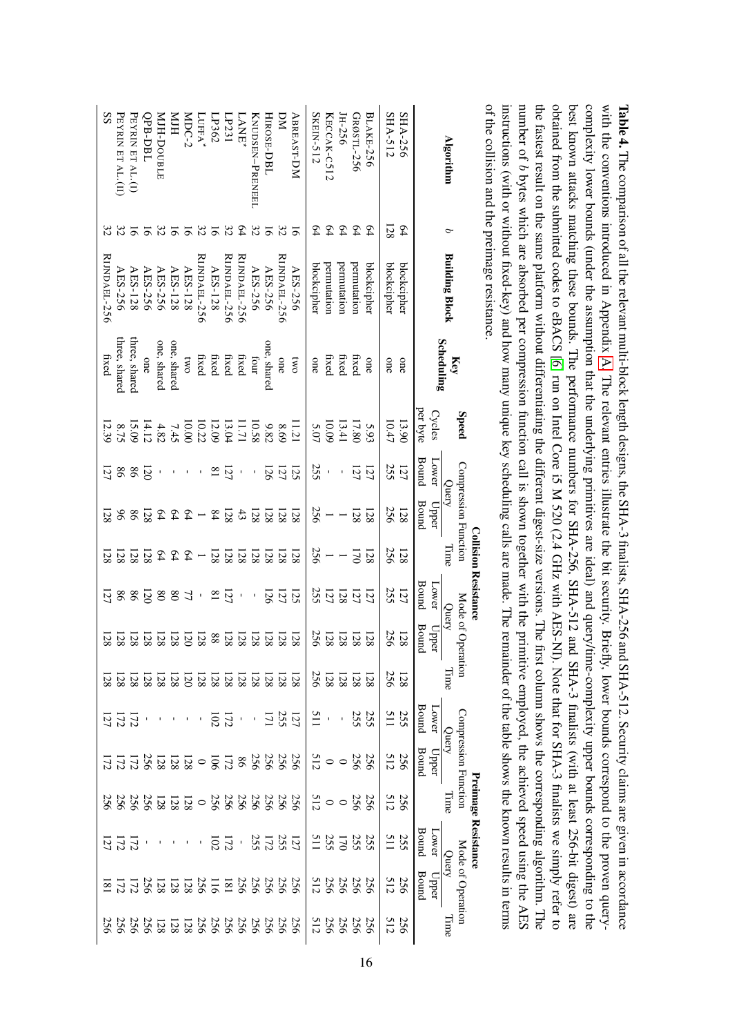<span id="page-15-0"></span>

| 256  | $\overline{8}$        | $\overline{2}$      | 256             |                                                       |                       | 28                | 128                        | $\overline{2}$                        | 128                                       | 128                           | $\overline{21}$ | 12.39              | fixed                    | <b>RIJNDAEL-256</b>   |                         | SS                                                                                                                                                               |
|------|-----------------------|---------------------|-----------------|-------------------------------------------------------|-----------------------|-------------------|----------------------------|---------------------------------------|-------------------------------------------|-------------------------------|-----------------|--------------------|--------------------------|-----------------------|-------------------------|------------------------------------------------------------------------------------------------------------------------------------------------------------------|
| 256  | $\overline{12}$       |                     | 256             | 172                                                   | $\overline{12}$       | $\overline{28}$   | 128                        | 86                                    | 128                                       | $\delta$                      | 86              | 8.75               | three, shared            | AES-256               | 32                      | PEYRIN ET AL.(II)                                                                                                                                                |
| 256  | 172                   | 172                 | 256             | 172                                                   | 172                   | $\overline{28}$   | 128                        | 98                                    | 128                                       | 98                            | 86              | 15.09              | three, shared            | AES-128               | 16                      | PEYRIN ET AL.(I)                                                                                                                                                 |
| 256  | 256                   |                     | 256             | 256                                                   |                       | $\overline{28}$   | 128                        | 120                                   | 128                                       | 128                           | $\overline{20}$ | 14.12              | one                      | AES-256               |                         | QPB-DBL                                                                                                                                                          |
| 128  | 128                   |                     | 128             | 128                                                   |                       |                   | 128                        | $_{08}$                               | $64\,$                                    | 64                            |                 | 4.82               | one, shared              | AES-256               | 32 <sup>2</sup>         | MJH-DOUBLE                                                                                                                                                       |
| 128  |                       |                     |                 | 128                                                   |                       |                   | 128                        |                                       |                                           |                               | $\mathbf{I}$    | 7.45               | one, shared              | AES-128               | $\overline{5}$          | HIM                                                                                                                                                              |
| 128  | $\frac{128}{128}$     |                     | $rac{128}{128}$ | 128                                                   |                       | $\frac{138}{128}$ | $\overline{20}$            | 77                                    | $-94$                                     | $-24$                         | $\sim 1$        | 10.00              | <b>DWO</b>               | AES-128               | $5\overline{6}$         | MDC-2                                                                                                                                                            |
| 256  | 256                   |                     | $\circ$         | $\circ$                                               |                       | <b>128</b>        | 128                        | $\mathbf I$                           |                                           |                               | $\mathbf I$     | 10.22              | fixed                    | <b>RIJNDAEL-256</b>   | 32                      | $L$ UFFA $^{\star}$                                                                                                                                              |
| 256  | 51                    | 102                 | 256             | <b>106</b>                                            | 102                   | <sup>28</sup>     | $88\,$                     | $\overline{\phantom{0}}$              | 128                                       | $\sqrt{8}$                    | $\overline{18}$ | 12.09              | fixed                    | AES-128               | $\overline{9}$          | LP362                                                                                                                                                            |
| 256  | $\overline{181}$      | 172                 | 256             | 172                                                   | 172                   |                   | 128                        | 121                                   | 128                                       | 128                           | 121             | 13.04              | fixed                    | <b>RIJNDAEL-256</b>   | 32                      | LP231                                                                                                                                                            |
| 256  | 256                   | $\bar{r}$           | 256             | $86\,$                                                | $\mathbf{I}$          | $\frac{128}{128}$ | 128                        | $\mathbf{r}$                          | 128                                       | $43\,$                        | $\mathbf{I}$    | 171                | fixed                    | <b>RUNDAEL-256</b>    | $64\,$                  | <b>LANE</b>                                                                                                                                                      |
| 256  | 256                   |                     | 256             | 256                                                   | $\mathbf{I}$          | <b>28</b>         | 128                        | $\mathsf{I}\hspace{-1.5pt}\mathsf{I}$ | 128                                       | 128                           | $\blacksquare$  | 10.58              | Inon                     | AES-256               | 32                      | KNUDSEN-PRENEEL                                                                                                                                                  |
| 256  |                       |                     |                 | 256                                                   | 171                   | <sup>28</sup>     | 128                        | 126                                   |                                           | 128                           | <b>126</b>      | 9.82               | one, shared              | AES-256               | $\overline{\mathbf{e}}$ | HIROSE-DBL                                                                                                                                                       |
| 256  | 256                   |                     | 256<br>256      | 256                                                   | 255                   | <sup>28</sup>     | 128                        | 121                                   | $\begin{array}{c} 128 \\ 128 \end{array}$ | 128                           | 127             | 8.69               | one                      | <b>RIJNDAEL-256</b>   | 32                      | ΣN                                                                                                                                                               |
| 256  | 256                   |                     | 256             | 256                                                   | 121                   | 128               | 128                        | 125                                   | 128                                       | 128                           | 125             | 11.21              | <b>CWO</b>               | AES-256               | $\overline{9}$          | <b>ABREAST-DM</b>                                                                                                                                                |
| 512  | 512                   |                     | 512             | 512                                                   | 115                   | 256               | 256                        | 255                                   |                                           | 256                           | 255             | 5.07               | one                      | blockcipher           | 54                      | SKEIN-512                                                                                                                                                        |
| 256  | 256                   | 255<br>511          | $\circ$         | $\circ$                                               | $\mathbf{r}$          | <b>128</b>        | 128                        | 121                                   | $rac{1}{256}$                             |                               | $\mathbf{I}$    | 10.09              | fixed                    | permutation           | 54                      | KECCAK-C512                                                                                                                                                      |
| 256  | 256                   | $\overline{0}$      | $\circ$         | $\circ$                                               | $\blacksquare$        | 128               | 128                        | 128                                   | $\overline{\phantom{0}}$                  |                               | $\mathbf I$     | 13.41              | fixed                    | permutation           | $\mathcal{L}$           | JH-256                                                                                                                                                           |
| 256  | 256                   |                     | 256             | 256                                                   | 255                   | <sup>28</sup>     | 128                        | 121                                   | U1                                        | 128                           | 127             | 17.80              | fixed                    | permutation           | $\mathcal{L}$           | GRØSTL-256                                                                                                                                                       |
| 256  | 256                   | 255<br>255          | 256             | 256                                                   | 255                   | 128               | 128                        | 121                                   | 128                                       | 128                           | 121             | 5.93               | one                      | blockcipher           | $\mathfrak{b}$          | <b>BLAKE-256</b>                                                                                                                                                 |
| 512  | 512                   | 511                 | 512             | 512                                                   | 511                   | 256               | 256                        | 255                                   | 256                                       | 256                           | 255             | 10.47              | one                      | blockcipher           | 128                     | SHA-512                                                                                                                                                          |
| 256  | 256                   | 255                 | 256             | 256                                                   | 255                   | 128               | 128                        | 121                                   | 128                                       | 128                           | 121             | 13.90              | one                      | blockcipher           | 54                      | SHA-256                                                                                                                                                          |
|      | <b>Bound</b><br>$Upp$ | Bound<br>Lower      |                 | <b>Bound</b><br>Upper                                 | <b>Bound</b><br>Lower |                   | Bound<br><b>Dper</b>       | Bound<br>Lower                        |                                           | <b>Bound</b><br>Upper         | Bound<br>Lower  | per byte<br>Cycles |                          |                       |                         |                                                                                                                                                                  |
| auu[ | Mode of Operation     | Query               | Jime            | Compression Function<br>Query                         |                       | auu[              | Mode of Operation<br>Query |                                       | lime                                      | Compression Function<br>Query |                 | <b>Speed</b>       | <b>Scheduling</b><br>Key | <b>Building Block</b> | P                       | <b>Algorithm</b>                                                                                                                                                 |
|      |                       | Preimage Resistance |                 |                                                       |                       |                   |                            | <b>Collision Resistance</b>           |                                           |                               |                 |                    |                          |                       |                         |                                                                                                                                                                  |
|      |                       |                     |                 |                                                       |                       |                   |                            |                                       |                                           |                               |                 |                    |                          |                       |                         | of the collision and the preimage resistance                                                                                                                     |
|      |                       |                     |                 |                                                       |                       |                   |                            |                                       |                                           |                               |                 |                    |                          |                       |                         | instructions (with or without fixed-key) and how many unique key scheduling calls are made. The remainder of the table shows the known results in terms          |
|      |                       |                     |                 | mitive employed, the achieved speed using the AES     |                       |                   |                            |                                       |                                           |                               |                 |                    |                          |                       |                         | number of b bytes which are absorbed per compression function call is shown together with the prin                                                               |
|      |                       |                     |                 |                                                       |                       |                   |                            |                                       |                                           |                               |                 |                    |                          |                       |                         | the fastest result on the same platform without differentiating the different digest-size versions. The first column shows the corresponding algorithm. The      |
|      |                       |                     |                 | II). Note that for SHA-3 finalists we simply refer to |                       |                   |                            |                                       |                                           |                               |                 |                    |                          |                       |                         | obtained from the submitted codes to eBACS [6] run on Intel Core i5 M 520 (2.4 GHz with AES-N                                                                    |
|      |                       |                     |                 |                                                       |                       |                   |                            |                                       |                                           |                               |                 |                    |                          |                       |                         | best known attacks matching these bounds. The performance numbers for SHA-256, SHA-512 and SHA-3 finalists (with at least 256-bit digest) are                    |
|      |                       |                     |                 |                                                       |                       |                   |                            |                                       |                                           |                               |                 |                    |                          |                       |                         | complexity lower bounds (under the assumption that the underlying primitives are ideal) and query/time-complexity upper bounds corresponding to the              |
|      |                       |                     |                 |                                                       |                       |                   |                            |                                       |                                           |                               |                 |                    |                          |                       |                         | with the conventions introduced in Appendix A. The relevant entries illustrate the bit security. Briefly, lower bounds correspond to the proven query-           |
|      |                       |                     |                 |                                                       |                       |                   |                            |                                       |                                           |                               |                 |                    |                          |                       |                         | <b>lable 4.</b> The comparison of all the relevant multi-block length designs, the SHA-3 finalists, SHA-256 and SHA-512. Security claims are given in accordance |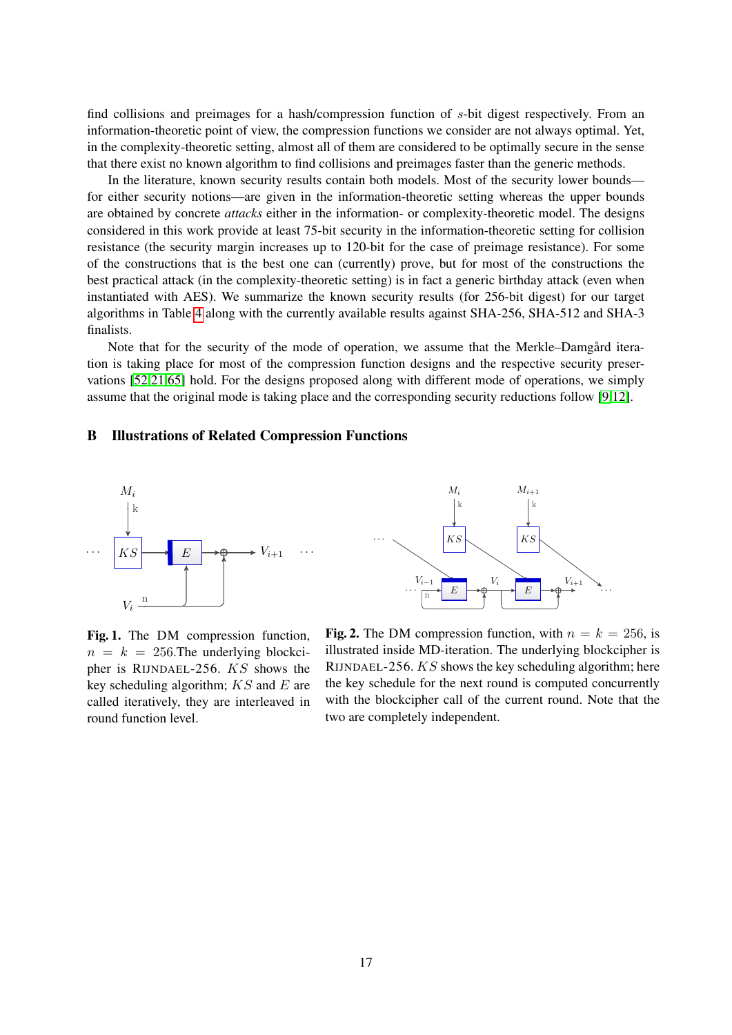find collisions and preimages for a hash/compression function of s-bit digest respectively. From an information-theoretic point of view, the compression functions we consider are not always optimal. Yet, in the complexity-theoretic setting, almost all of them are considered to be optimally secure in the sense that there exist no known algorithm to find collisions and preimages faster than the generic methods.

In the literature, known security results contain both models. Most of the security lower bounds for either security notions—are given in the information-theoretic setting whereas the upper bounds are obtained by concrete *attacks* either in the information- or complexity-theoretic model. The designs considered in this work provide at least 75-bit security in the information-theoretic setting for collision resistance (the security margin increases up to 120-bit for the case of preimage resistance). For some of the constructions that is the best one can (currently) prove, but for most of the constructions the best practical attack (in the complexity-theoretic setting) is in fact a generic birthday attack (even when instantiated with AES). We summarize the known security results (for 256-bit digest) for our target algorithms in Table [4](#page-15-0) along with the currently available results against SHA-256, SHA-512 and SHA-3 finalists.

Note that for the security of the mode of operation, we assume that the Merkle–Damgård iteration is taking place for most of the compression function designs and the respective security preservations [\[52](#page-13-0)[,21,](#page-12-0)[65\]](#page-14-22) hold. For the designs proposed along with different mode of operations, we simply assume that the original mode is taking place and the corresponding security reductions follow [\[9](#page-12-4)[,12\]](#page-12-3).

### B Illustrations of Related Compression Functions



<span id="page-16-0"></span>Fig. 1. The DM compression function,  $n = k = 256$ . The underlying blockcipher is RIJNDAEL-256. KS shows the key scheduling algorithm;  $KS$  and  $E$  are called iteratively, they are interleaved in round function level.

<span id="page-16-1"></span>Fig. 2. The DM compression function, with  $n = k = 256$ , is illustrated inside MD-iteration. The underlying blockcipher is RIJNDAEL-256. KS shows the key scheduling algorithm; here the key schedule for the next round is computed concurrently with the blockcipher call of the current round. Note that the two are completely independent.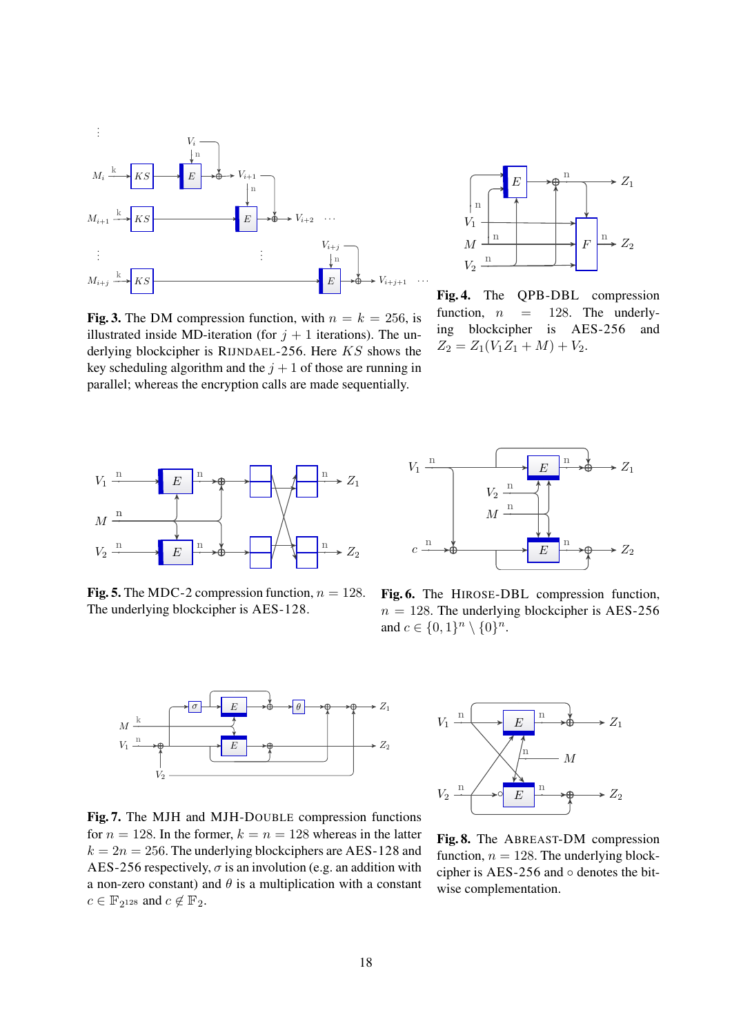

<span id="page-17-0"></span>Fig. 3. The DM compression function, with  $n = k = 256$ , is illustrated inside MD-iteration (for  $j + 1$  iterations). The underlying blockcipher is RIJNDAEL-256. Here KS shows the key scheduling algorithm and the  $j + 1$  of those are running in parallel; whereas the encryption calls are made sequentially.



<span id="page-17-5"></span>Fig. 4. The QPB-DBL compression function,  $n = 128$ . The underlying blockcipher is AES-256 and  $Z_2 = Z_1(V_1Z_1 + M) + V_2.$ 



<span id="page-17-3"></span>Fig. 5. The MDC-2 compression function,  $n = 128$ . The underlying blockcipher is AES-128.



<span id="page-17-2"></span>Fig. 6. The HIROSE-DBL compression function,  $n = 128$ . The underlying blockcipher is AES-256 and  $c \in \{0,1\}^n \setminus \{0\}^n$ .



<span id="page-17-4"></span>Fig. 7. The MJH and MJH-DOUBLE compression functions for  $n = 128$ . In the former,  $k = n = 128$  whereas in the latter  $k = 2n = 256$ . The underlying blockciphers are AES-128 and AES-256 respectively,  $\sigma$  is an involution (e.g. an addition with a non-zero constant) and  $\theta$  is a multiplication with a constant  $c \in \mathbb{F}_{2^{128}}$  and  $c \notin \mathbb{F}_{2}$ .



<span id="page-17-1"></span>Fig. 8. The ABREAST-DM compression function,  $n = 128$ . The underlying blockcipher is AES-256 and  $\circ$  denotes the bitwise complementation.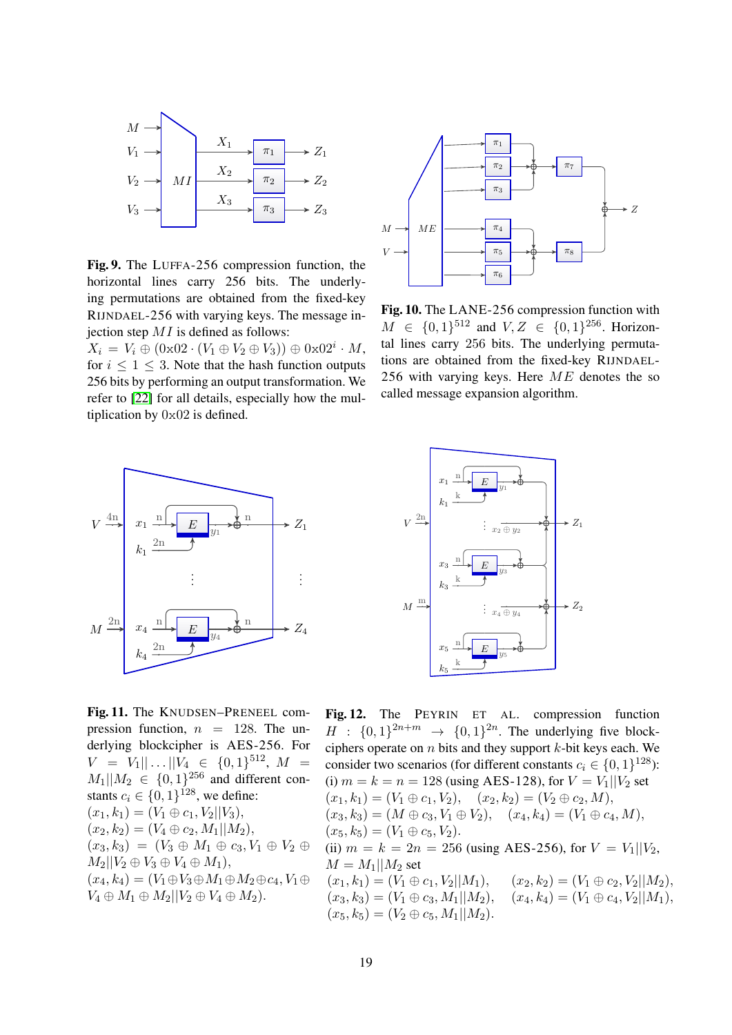

<span id="page-18-2"></span>Fig. 9. The LUFFA-256 compression function, the horizontal lines carry 256 bits. The underlying permutations are obtained from the fixed-key RIJNDAEL-256 with varying keys. The message injection step  $MI$  is defined as follows:

 $X_i = V_i \oplus (0 \times 02 \cdot (V_1 \oplus V_2 \oplus V_3)) \oplus 0 \times 02^i \cdot M,$ for  $i \leq 1 \leq 3$ . Note that the hash function outputs 256 bits by performing an output transformation. We refer to [\[22\]](#page-12-22) for all details, especially how the multiplication by 0x02 is defined.



Fig. 11. The KNUDSEN–PRENEEL compression function,  $n = 128$ . The underlying blockcipher is AES-256. For  $V = V_1 || \dots || V_4 \in \{0, 1\}^{512}, M =$  $M_1||M_2 \in \{0,1\}^{256}$  and different constants  $c_i \in \{0, 1\}^{128}$ , we define:  $(x_1, k_1) = (V_1 \oplus c_1, V_2 || V_3),$  $(x_2, k_2) = (V_4 \oplus c_2, M_1 || M_2),$  $(x_3, k_3) = (V_3 \oplus M_1 \oplus c_3, V_1 \oplus V_2 \oplus$  $M_2||V_2 \oplus V_3 \oplus V_4 \oplus M_1$ ,  $(x_4, k_4) = (V_1 \oplus V_3 \oplus M_1 \oplus M_2 \oplus c_4, V_1 \oplus$  $V_4 \oplus M_1 \oplus M_2 || V_2 \oplus V_4 \oplus M_2$ .



<span id="page-18-1"></span>Fig. 10. The LANE-256 compression function with  $M \in \{0,1\}^{512}$  and  $V, Z \in \{0,1\}^{256}$ . Horizontal lines carry 256 bits. The underlying permutations are obtained from the fixed-key RIJNDAEL-256 with varying keys. Here  $ME$  denotes the so called message expansion algorithm.



<span id="page-18-0"></span>Fig. 12. The PEYRIN ET AL. compression function  $H : \{0,1\}^{2n+m} \rightarrow \{0,1\}^{2n}$ . The underlying five blockciphers operate on n bits and they support  $k$ -bit keys each. We consider two scenarios (for different constants  $c_i \in \{0, 1\}^{128}$ ): (i)  $m = k = n = 128$  (using AES-128), for  $V = V_1 || V_2$  set  $(x_1, k_1) = (V_1 \oplus c_1, V_2), \quad (x_2, k_2) = (V_2 \oplus c_2, M),$  $(x_3, k_3) = (M \oplus c_3, V_1 \oplus V_2), \quad (x_4, k_4) = (V_1 \oplus c_4, M),$  $(x_5, k_5) = (V_1 \oplus c_5, V_2).$ (ii)  $m = k = 2n = 256$  (using AES-256), for  $V = V_1 || V_2$ ,  $M = M_1 || M_2$  set  $(x_1, k_1) = (V_1 \oplus c_1, V_2||M_1),$   $(x_2, k_2) = (V_1 \oplus c_2, V_2||M_2),$ <br>  $(x_3, k_3) = (V_1 \oplus c_3, M_1||M_2),$   $(x_4, k_4) = (V_1 \oplus c_4, V_2||M_1),$  $(x_3, k_3) = (V_1 \oplus c_3, M_1 || M_2),$  $(x_5, k_5) = (V_2 \oplus c_5, M_1||M_2).$